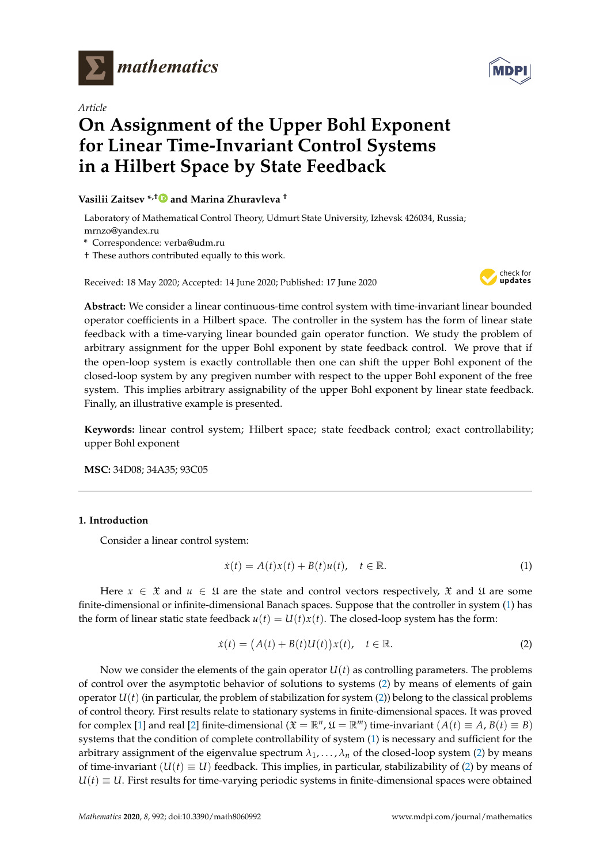

*Article*

# **On Assignment of the Upper Bohl Exponent for Linear Time-Invariant Control Systems in a Hilbert Space by State Feedback**

**Vasilii Zaitsev \*,[†](https://orcid.org/0000-0002-0482-4520) and Marina Zhuravleva †**

Laboratory of Mathematical Control Theory, Udmurt State University, Izhevsk 426034, Russia; mrnzo@yandex.ru

**\*** Correspondence: verba@udm.ru

† These authors contributed equally to this work.

Received: 18 May 2020; Accepted: 14 June 2020; Published: 17 June 2020



**Abstract:** We consider a linear continuous-time control system with time-invariant linear bounded operator coefficients in a Hilbert space. The controller in the system has the form of linear state feedback with a time-varying linear bounded gain operator function. We study the problem of arbitrary assignment for the upper Bohl exponent by state feedback control. We prove that if the open-loop system is exactly controllable then one can shift the upper Bohl exponent of the closed-loop system by any pregiven number with respect to the upper Bohl exponent of the free system. This implies arbitrary assignability of the upper Bohl exponent by linear state feedback. Finally, an illustrative example is presented.

**Keywords:** linear control system; Hilbert space; state feedback control; exact controllability; upper Bohl exponent

**MSC:** 34D08; 34A35; 93C05

## **1. Introduction**

Consider a linear control system:

<span id="page-0-0"></span>
$$
\dot{x}(t) = A(t)x(t) + B(t)u(t), \quad t \in \mathbb{R}.
$$
\n(1)

Here  $x \in \mathfrak{X}$  and  $u \in \mathfrak{U}$  are the state and control vectors respectively,  $\mathfrak{X}$  and  $\mathfrak{U}$  are some finite-dimensional or infinite-dimensional Banach spaces. Suppose that the controller in system [\(1\)](#page-0-0) has the form of linear static state feedback  $u(t) = U(t)x(t)$ . The closed-loop system has the form:

<span id="page-0-1"></span>
$$
\dot{x}(t) = (A(t) + B(t)U(t))x(t), \quad t \in \mathbb{R}.
$$
 (2)

Now we consider the elements of the gain operator  $U(t)$  as controlling parameters. The problems of control over the asymptotic behavior of solutions to systems [\(2\)](#page-0-1) by means of elements of gain operator  $U(t)$  (in particular, the problem of stabilization for system [\(2\)](#page-0-1)) belong to the classical problems of control theory. First results relate to stationary systems in finite-dimensional spaces. It was proved for complex [\[1\]](#page-17-0) and real [\[2\]](#page-17-1) finite-dimensional ( $\mathfrak{X} = \mathbb{R}^n$ ,  $\mathfrak{U} = \mathbb{R}^m$ ) time-invariant  $(A(t) \equiv A, B(t) \equiv B)$ systems that the condition of complete controllability of system [\(1\)](#page-0-0) is necessary and sufficient for the arbitrary assignment of the eigenvalue spectrum  $\lambda_1, \dots, \lambda_n$  of the closed-loop system [\(2\)](#page-0-1) by means of time-invariant  $(U(t) \equiv U)$  feedback. This implies, in particular, stabilizability of [\(2\)](#page-0-1) by means of  $U(t) \equiv U$ . First results for time-varying periodic systems in finite-dimensional spaces were obtained

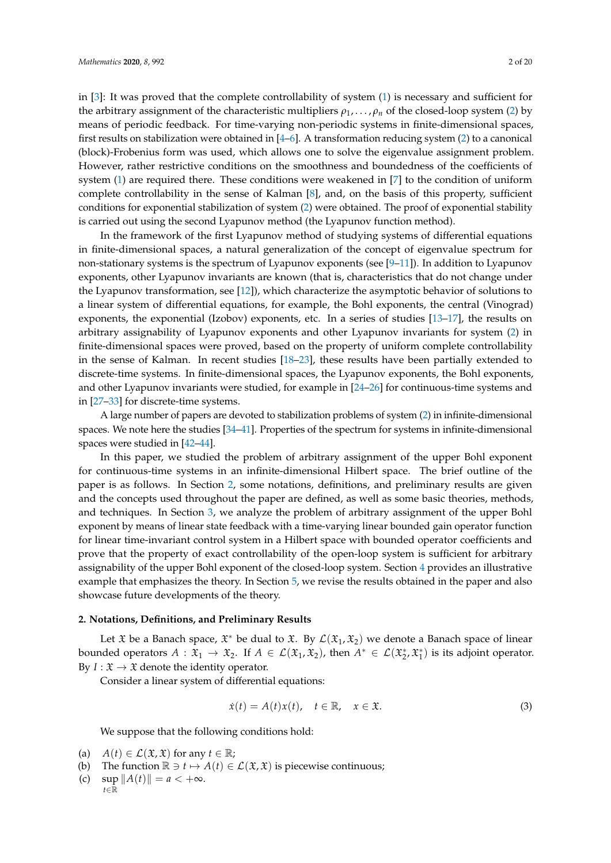in [\[3\]](#page-17-2): It was proved that the complete controllability of system [\(1\)](#page-0-0) is necessary and sufficient for the arbitrary assignment of the characteristic multipliers *ρ*1, . . . , *ρ<sup>n</sup>* of the closed-loop system [\(2\)](#page-0-1) by means of periodic feedback. For time-varying non-periodic systems in finite-dimensional spaces, first results on stabilization were obtained in [\[4–](#page-17-3)[6\]](#page-17-4). A transformation reducing system [\(2\)](#page-0-1) to a canonical (block)-Frobenius form was used, which allows one to solve the eigenvalue assignment problem. However, rather restrictive conditions on the smoothness and boundedness of the coefficients of system [\(1\)](#page-0-0) are required there. These conditions were weakened in [\[7\]](#page-17-5) to the condition of uniform complete controllability in the sense of Kalman [\[8\]](#page-17-6), and, on the basis of this property, sufficient conditions for exponential stabilization of system [\(2\)](#page-0-1) were obtained. The proof of exponential stability is carried out using the second Lyapunov method (the Lyapunov function method).

In the framework of the first Lyapunov method of studying systems of differential equations in finite-dimensional spaces, a natural generalization of the concept of eigenvalue spectrum for non-stationary systems is the spectrum of Lyapunov exponents (see [\[9](#page-17-7)[–11\]](#page-17-8)). In addition to Lyapunov exponents, other Lyapunov invariants are known (that is, characteristics that do not change under the Lyapunov transformation, see [\[12\]](#page-17-9)), which characterize the asymptotic behavior of solutions to a linear system of differential equations, for example, the Bohl exponents, the central (Vinograd) exponents, the exponential (Izobov) exponents, etc. In a series of studies [\[13](#page-17-10)[–17\]](#page-17-11), the results on arbitrary assignability of Lyapunov exponents and other Lyapunov invariants for system [\(2\)](#page-0-1) in finite-dimensional spaces were proved, based on the property of uniform complete controllability in the sense of Kalman. In recent studies [\[18–](#page-17-12)[23\]](#page-18-0), these results have been partially extended to discrete-time systems. In finite-dimensional spaces, the Lyapunov exponents, the Bohl exponents, and other Lyapunov invariants were studied, for example in [\[24](#page-18-1)[–26\]](#page-18-2) for continuous-time systems and in [\[27–](#page-18-3)[33\]](#page-18-4) for discrete-time systems.

A large number of papers are devoted to stabilization problems of system [\(2\)](#page-0-1) in infinite-dimensional spaces. We note here the studies [\[34](#page-18-5)[–41\]](#page-18-6). Properties of the spectrum for systems in infinite-dimensional spaces were studied in [\[42–](#page-18-7)[44\]](#page-18-8).

In this paper, we studied the problem of arbitrary assignment of the upper Bohl exponent for continuous-time systems in an infinite-dimensional Hilbert space. The brief outline of the paper is as follows. In Section [2,](#page-1-0) some notations, definitions, and preliminary results are given and the concepts used throughout the paper are defined, as well as some basic theories, methods, and techniques. In Section [3,](#page-5-0) we analyze the problem of arbitrary assignment of the upper Bohl exponent by means of linear state feedback with a time-varying linear bounded gain operator function for linear time-invariant control system in a Hilbert space with bounded operator coefficients and prove that the property of exact controllability of the open-loop system is sufficient for arbitrary assignability of the upper Bohl exponent of the closed-loop system. Section [4](#page-11-0) provides an illustrative example that emphasizes the theory. In Section [5,](#page-16-0) we revise the results obtained in the paper and also showcase future developments of the theory.

#### <span id="page-1-0"></span>**2. Notations, Definitions, and Preliminary Results**

Let  $\mathfrak X$  be a Banach space,  $\mathfrak X^*$  be dual to  $\mathfrak X$ . By  $\mathcal L(\mathfrak X_1,\mathfrak X_2)$  we denote a Banach space of linear bounded operators  $A: \mathfrak{X}_1 \to \mathfrak{X}_2$ . If  $A \in \mathcal{L}(\mathfrak{X}_1, \mathfrak{X}_2)$ , then  $A^* \in \mathcal{L}(\mathfrak{X}_2^*, \mathfrak{X}_1^*)$  is its adjoint operator. By  $I: \mathfrak{X} \to \mathfrak{X}$  denote the identity operator.

Consider a linear system of differential equations:

<span id="page-1-1"></span>
$$
\dot{x}(t) = A(t)x(t), \quad t \in \mathbb{R}, \quad x \in \mathfrak{X}.\tag{3}
$$

We suppose that the following conditions hold:

- (a)  $A(t) \in \mathcal{L}(\mathfrak{X}, \mathfrak{X})$  for any  $t \in \mathbb{R}$ ;
- (b) The function  $\mathbb{R} \ni t \mapsto A(t) \in \mathcal{L}(\mathfrak{X}, \mathfrak{X})$  is piecewise continuous;
- (c)  $\sup \|A(t)\| = a < +\infty$ .

$$
t\in\mathbb{R}^{\frac{1}{m}}
$$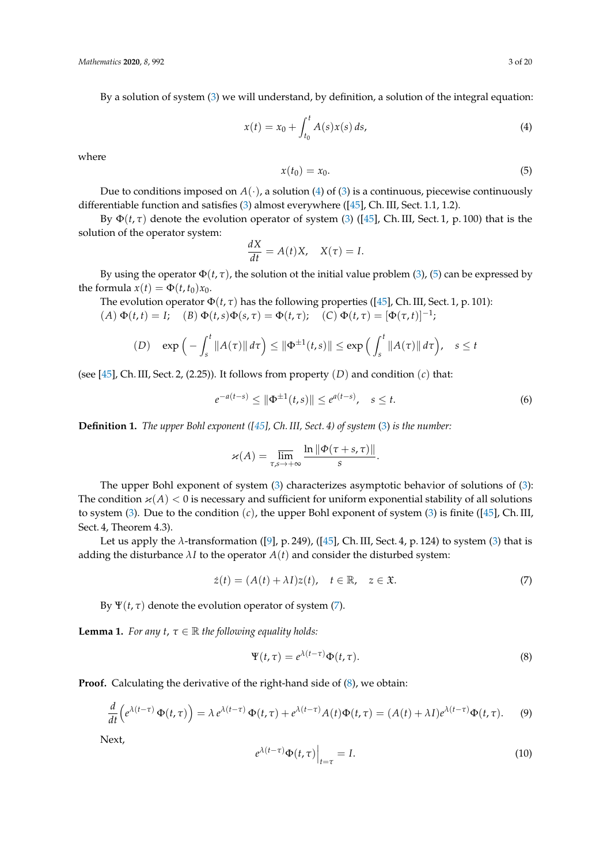By a solution of system [\(3\)](#page-1-1) we will understand, by definition, a solution of the integral equation:

<span id="page-2-0"></span>
$$
x(t) = x_0 + \int_{t_0}^t A(s)x(s) \, ds,\tag{4}
$$

where

<span id="page-2-1"></span>
$$
x(t_0) = x_0. \tag{5}
$$

Due to conditions imposed on  $A(\cdot)$ , a solution [\(4\)](#page-2-0) of [\(3\)](#page-1-1) is a continuous, piecewise continuously differentiable function and satisfies [\(3\)](#page-1-1) almost everywhere ([\[45\]](#page-18-9), Ch. III, Sect. 1.1, 1.2).

By  $\Phi(t, \tau)$  denote the evolution operator of system [\(3\)](#page-1-1) ([\[45\]](#page-18-9), Ch. III, Sect. 1, p. 100) that is the solution of the operator system:

$$
\frac{dX}{dt} = A(t)X, \quad X(\tau) = I.
$$

By using the operator  $\Phi(t, \tau)$ , the solution ot the initial value problem [\(3\)](#page-1-1), [\(5\)](#page-2-1) can be expressed by the formula  $x(t) = \Phi(t, t_0)x_0$ .

The evolution operator  $\Phi(t, \tau)$  has the following properties ([\[45\]](#page-18-9), Ch. III, Sect. 1, p. 101):  $(A) \Phi(t, t) = I;$   $(B) \Phi(t, s) \Phi(s, \tau) = \Phi(t, \tau);$   $(C) \Phi(t, \tau) = [\Phi(\tau, t)]^{-1};$ 

$$
(D) \quad \exp\left(-\int_s^t \|A(\tau)\| d\tau\right) \le \|\Phi^{\pm 1}(t,s)\| \le \exp\left(\int_s^t \|A(\tau)\| d\tau\right), \quad s \le t
$$

(see [\[45\]](#page-18-9), Ch. III, Sect. 2, (2.25)). It follows from property (*D*) and condition (*c*) that:

<span id="page-2-7"></span>
$$
e^{-a(t-s)} \le \|\Phi^{\pm 1}(t,s)\| \le e^{a(t-s)}, \quad s \le t. \tag{6}
$$

**Definition 1.** *The upper Bohl exponent ([\[45\]](#page-18-9), Ch. III, Sect. 4) of system* [\(3\)](#page-1-1) *is the number:*

$$
\varkappa(A) = \overline{\lim_{\tau,s \to +\infty}} \frac{\ln \|\Phi(\tau+s,\tau)\|}{s}.
$$

The upper Bohl exponent of system [\(3\)](#page-1-1) characterizes asymptotic behavior of solutions of [\(3\)](#page-1-1): The condition  $\varkappa(A) < 0$  is necessary and sufficient for uniform exponential stability of all solutions to system [\(3\)](#page-1-1). Due to the condition (*c*), the upper Bohl exponent of system [\(3\)](#page-1-1) is finite ([\[45\]](#page-18-9), Ch. III, Sect. 4, Theorem 4.3).

Let us apply the  $\lambda$ -transformation ([\[9\]](#page-17-7), p. 249), ([\[45\]](#page-18-9), Ch. III, Sect. 4, p. 124) to system [\(3\)](#page-1-1) that is adding the disturbance  $\lambda I$  to the operator  $A(t)$  and consider the disturbed system:

<span id="page-2-2"></span>
$$
\dot{z}(t) = (A(t) + \lambda I)z(t), \quad t \in \mathbb{R}, \quad z \in \mathfrak{X}.\tag{7}
$$

By  $\Psi(t, \tau)$  denote the evolution operator of system [\(7\)](#page-2-2).

<span id="page-2-6"></span>**Lemma 1.** *For any t,*  $\tau \in \mathbb{R}$  *the following equality holds:* 

<span id="page-2-3"></span>
$$
\Psi(t,\tau) = e^{\lambda(t-\tau)}\Phi(t,\tau). \tag{8}
$$

**Proof.** Calculating the derivative of the right-hand side of  $(8)$ , we obtain:

<span id="page-2-4"></span>
$$
\frac{d}{dt}\left(e^{\lambda(t-\tau)}\,\Phi(t,\tau)\right) = \lambda\,e^{\lambda(t-\tau)}\,\Phi(t,\tau) + e^{\lambda(t-\tau)}A(t)\Phi(t,\tau) = (A(t)+\lambda I)e^{\lambda(t-\tau)}\Phi(t,\tau). \tag{9}
$$

Next,

<span id="page-2-5"></span>
$$
e^{\lambda(t-\tau)}\Phi(t,\tau)\Big|_{t=\tau} = I.
$$
\n(10)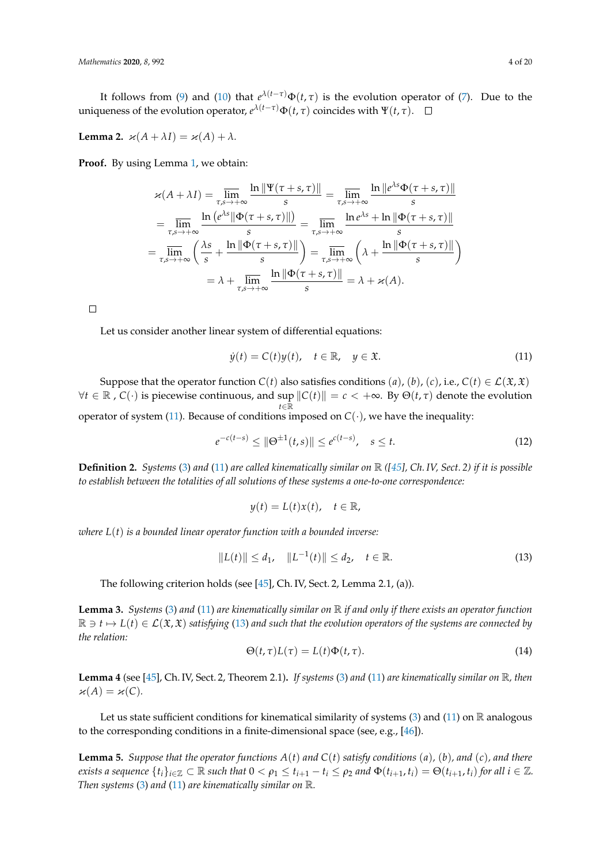It follows from [\(9\)](#page-2-4) and [\(10\)](#page-2-5) that  $e^{\lambda(t-\tau)}\Phi(t,\tau)$  is the evolution operator of [\(7\)](#page-2-2). Due to the uniqueness of the evolution operator,  $e^{\lambda(t-\tau)}\Phi(t,\tau)$  coincides with  $\Psi(t,\tau)$ .

<span id="page-3-7"></span>**Lemma 2.**  $\varkappa(A + \lambda I) = \varkappa(A) + \lambda$ .

Proof. By using Lemma [1,](#page-2-6) we obtain:

$$
\varkappa(A + \lambda I) = \overline{\lim}_{\tau,s \to +\infty} \frac{\ln \|\Psi(\tau+s,\tau)\|}{s} = \overline{\lim}_{\tau,s \to +\infty} \frac{\ln \|e^{\lambda s} \Phi(\tau+s,\tau)\|}{s}
$$

$$
= \overline{\lim}_{\tau,s \to +\infty} \frac{\ln (e^{\lambda s} \|\Phi(\tau+s,\tau)\|)}{s} = \overline{\lim}_{\tau,s \to +\infty} \frac{\ln e^{\lambda s} + \ln \| \Phi(\tau+s,\tau)\|}{s}
$$

$$
= \overline{\lim}_{\tau,s \to +\infty} \left(\frac{\lambda s}{s} + \frac{\ln \|\Phi(\tau+s,\tau)\|}{s}\right) = \overline{\lim}_{\tau,s \to +\infty} \left(\lambda + \frac{\ln \|\Phi(\tau+s,\tau)\|}{s}\right)
$$

$$
= \lambda + \overline{\lim}_{\tau,s \to +\infty} \frac{\ln \|\Phi(\tau+s,\tau)\|}{s} = \lambda + \varkappa(A).
$$

 $\Box$ 

Let us consider another linear system of differential equations:

<span id="page-3-0"></span>
$$
\dot{y}(t) = C(t)y(t), \quad t \in \mathbb{R}, \quad y \in \mathfrak{X}.\tag{11}
$$

Suppose that the operator function  $C(t)$  also satisfies conditions (*a*), (*b*), (*c*), i.e.,  $C(t) \in \mathcal{L}(\mathfrak{X}, \mathfrak{X})$  $\forall t$  ∈ ℝ, *C*(·) is piecewise continuous, and sup  $||C(t)|| = c$  < +∞. By  $Θ(t, τ)$  denote the evolution *t*∈R operator of system [\(11\)](#page-3-0). Because of conditions imposed on  $C(\cdot)$ , we have the inequality:

<span id="page-3-3"></span>
$$
e^{-c(t-s)} \le \|\Theta^{\pm 1}(t,s)\| \le e^{c(t-s)}, \quad s \le t. \tag{12}
$$

**Definition 2.** *Systems* [\(3\)](#page-1-1) *and* [\(11\)](#page-3-0) *are called kinematically similar on* R *([\[45\]](#page-18-9), Ch. IV, Sect. 2) if it is possible to establish between the totalities of all solutions of these systems a one-to-one correspondence:*

$$
y(t) = L(t)x(t), \quad t \in \mathbb{R},
$$

*where L*(*t*) *is a bounded linear operator function with a bounded inverse:*

<span id="page-3-1"></span>
$$
||L(t)|| \le d_1, \quad ||L^{-1}(t)|| \le d_2, \quad t \in \mathbb{R}.
$$
 (13)

The following criterion holds (see [\[45\]](#page-18-9), Ch. IV, Sect. 2, Lemma 2.1, (a)).

<span id="page-3-4"></span>**Lemma 3.** *Systems* [\(3\)](#page-1-1) *and* [\(11\)](#page-3-0) *are kinematically similar on* R *if and only if there exists an operator function*  $\mathbb{R} \ni t \mapsto L(t) \in \mathcal{L}(\mathfrak{X}, \mathfrak{X})$  satisfying [\(13\)](#page-3-1) and such that the evolution operators of the systems are connected by *the relation:*

<span id="page-3-2"></span>
$$
\Theta(t,\tau)L(\tau) = L(t)\Phi(t,\tau). \tag{14}
$$

<span id="page-3-6"></span>**Lemma 4** (see [\[45\]](#page-18-9), Ch. IV, Sect. 2, Theorem 2.1)**.** *If systems* [\(3\)](#page-1-1) *and* [\(11\)](#page-3-0) *are kinematically similar on* R*, then*  $\varkappa(A) = \varkappa(C)$ .

Let us state sufficient conditions for kinematical similarity of systems [\(3\)](#page-1-1) and [\(11\)](#page-3-0) on  $\mathbb R$  analogous to the corresponding conditions in a finite-dimensional space (see, e.g., [\[46\]](#page-19-0)).

<span id="page-3-5"></span>**Lemma 5.** *Suppose that the operator functions A*(*t*) *and C*(*t*) *satisfy conditions* (*a*)*,* (*b*)*, and* (*c*)*, and there* exists a sequence  $\{t_i\}_{i\in\mathbb{Z}}\subset\mathbb{R}$  such that  $0<\rho_1\leq t_{i+1}-t_i\leq \rho_2$  and  $\Phi(t_{i+1},t_i)=\Theta(t_{i+1},t_i)$  for all  $i\in\mathbb{Z}$ . *Then systems* [\(3\)](#page-1-1) *and* [\(11\)](#page-3-0) *are kinematically similar on* R*.*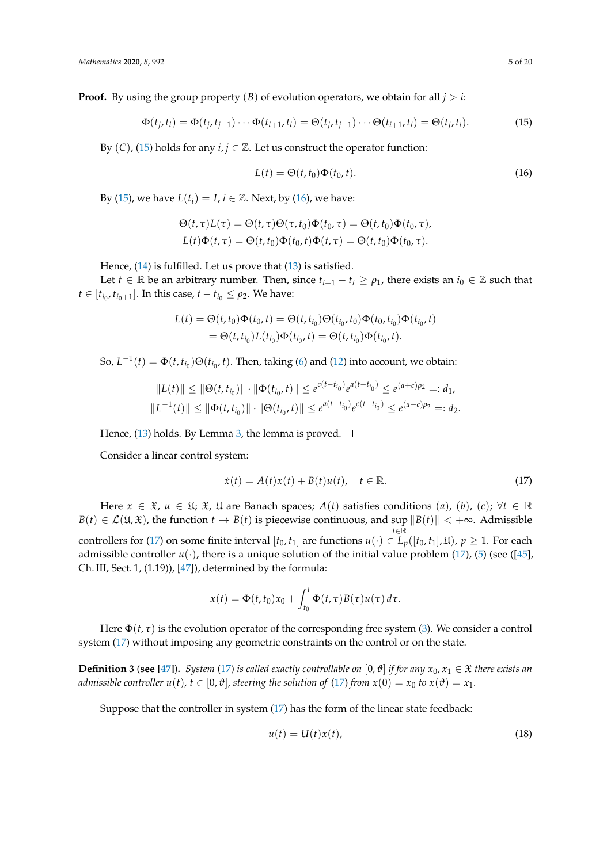**Proof.** By using the group property  $(B)$  of evolution operators, we obtain for all  $j > i$ :

<span id="page-4-0"></span>
$$
\Phi(t_j, t_i) = \Phi(t_j, t_{j-1}) \cdots \Phi(t_{i+1}, t_i) = \Theta(t_j, t_{j-1}) \cdots \Theta(t_{i+1}, t_i) = \Theta(t_j, t_i).
$$
\n(15)

By  $(C)$ ,  $(15)$  holds for any  $i, j \in \mathbb{Z}$ . Let us construct the operator function:

<span id="page-4-1"></span>
$$
L(t) = \Theta(t, t_0)\Phi(t_0, t). \tag{16}
$$

By [\(15\)](#page-4-0), we have  $L(t_i) = I$ ,  $i \in \mathbb{Z}$ . Next, by [\(16\)](#page-4-1), we have:

$$
\Theta(t,\tau)L(\tau) = \Theta(t,\tau)\Theta(\tau,t_0)\Phi(t_0,\tau) = \Theta(t,t_0)\Phi(t_0,\tau),
$$
  

$$
L(t)\Phi(t,\tau) = \Theta(t,t_0)\Phi(t_0,t)\Phi(t,\tau) = \Theta(t,t_0)\Phi(t_0,\tau).
$$

Hence, [\(14\)](#page-3-2) is fulfilled. Let us prove that [\(13\)](#page-3-1) is satisfied.

Let *t* ∈ R be an arbitrary number. Then, since  $t_{i+1} - t_i \ge \rho_1$ , there exists an  $i_0 \in \mathbb{Z}$  such that  $t \in [t_{i_0}, t_{i_0+1}]$ . In this case,  $t - t_{i_0} \le \rho_2$ . We have:

$$
L(t) = \Theta(t, t_0) \Phi(t_0, t) = \Theta(t, t_{i_0}) \Theta(t_{i_0}, t_0) \Phi(t_0, t_{i_0}) \Phi(t_{i_0}, t)
$$
  
=  $\Theta(t, t_{i_0}) L(t_{i_0}) \Phi(t_{i_0}, t) = \Theta(t, t_{i_0}) \Phi(t_{i_0}, t).$ 

So,  $L^{-1}(t) = \Phi(t, t_{i_0}) \Theta(t_{i_0}, t)$ . Then, taking [\(6\)](#page-2-7) and [\(12\)](#page-3-3) into account, we obtain:

$$
||L(t)|| \le ||\Theta(t, t_{i_0})|| \cdot ||\Phi(t_{i_0}, t)|| \le e^{c(t - t_{i_0})} e^{a(t - t_{i_0})} \le e^{(a+c)\rho_2} =: d_1,
$$
  

$$
||L^{-1}(t)|| \le ||\Phi(t, t_{i_0})|| \cdot ||\Theta(t_{i_0}, t)|| \le e^{a(t - t_{i_0})} e^{c(t - t_{i_0})} \le e^{(a+c)\rho_2} =: d_2.
$$

Hence, [\(13\)](#page-3-1) holds. By Lemma [3,](#page-3-4) the lemma is proved.  $\square$ 

Consider a linear control system:

<span id="page-4-2"></span>
$$
\dot{x}(t) = A(t)x(t) + B(t)u(t), \quad t \in \mathbb{R}.
$$
\n(17)

Here  $x \in \mathfrak{X}$ ,  $u \in \mathfrak{U}$ ;  $\mathfrak{X}$ ,  $\mathfrak{U}$  are Banach spaces;  $A(t)$  satisfies conditions  $(a)$ ,  $(b)$ ,  $(c)$ ;  $\forall t \in \mathbb{R}$  $B(t) \in \mathcal{L}(\mathfrak{U}, \mathfrak{X})$ , the function  $t \mapsto B(t)$  is piecewise continuous, and sup  $||B(t)|| < +\infty$ . Admissible *t*∈R controllers for [\(17\)](#page-4-2) on some finite interval  $[t_0, t_1]$  are functions  $u(\cdot) \in L_p([t_0, t_1], \mathfrak{U})$ ,  $p \geq 1$ . For each admissible controller  $u(\cdot)$ , there is a unique solution of the initial value problem [\(17\)](#page-4-2), [\(5\)](#page-2-1) (see ([\[45\]](#page-18-9), Ch. III, Sect. 1, (1.19)), [\[47\]](#page-19-1)), determined by the formula:

$$
x(t) = \Phi(t, t_0) x_0 + \int_{t_0}^t \Phi(t, \tau) B(\tau) u(\tau) d\tau.
$$

Here  $\Phi(t, \tau)$  is the evolution operator of the corresponding free system [\(3\)](#page-1-1). We consider a control system [\(17\)](#page-4-2) without imposing any geometric constraints on the control or on the state.

**Definition 3** (see [\[47\]](#page-19-1)). *System* [\(17\)](#page-4-2) *is called exactly controllable on* [0,  $\vartheta$ ] *if for any*  $x_0, x_1 \in \mathfrak{X}$  *there exists an admissible controller u(t), t*  $\in$  [0,  $\vartheta$ ], *steering the solution of* [\(17\)](#page-4-2) *from x*(0) = *x*<sub>0</sub> *to x*( $\vartheta$ ) = *x*<sub>1</sub>*.* 

Suppose that the controller in system [\(17\)](#page-4-2) has the form of the linear state feedback:

<span id="page-4-3"></span>
$$
u(t) = U(t)x(t),
$$
\n(18)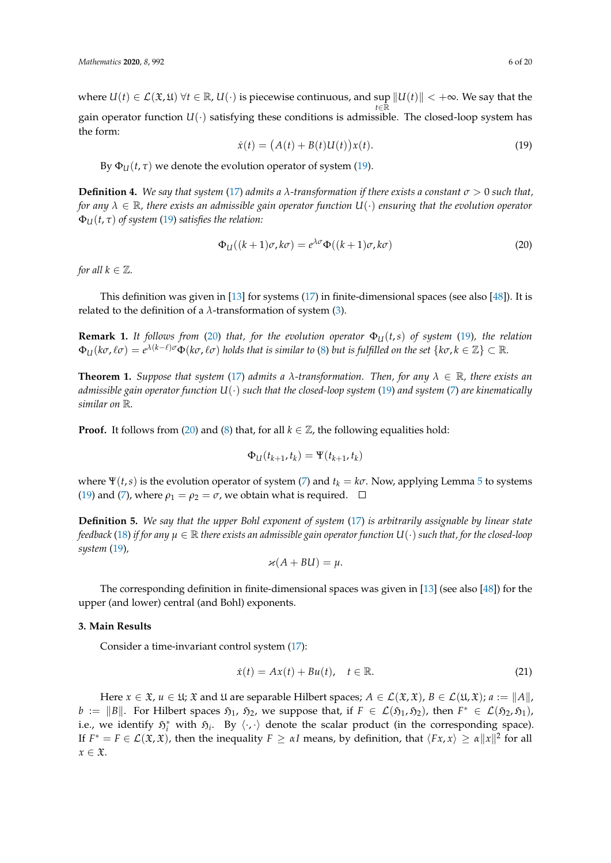where  $U(t) \in \mathcal{L}(\mathfrak{X}, \mathfrak{U}) \ \forall t \in \mathbb{R}$ ,  $U(\cdot)$  is piecewise continuous, and sup  $||U(t)|| < +\infty$ . We say that the *t*∈R gain operator function  $U(\cdot)$  satisfying these conditions is admissible. The closed-loop system has the form:

<span id="page-5-1"></span>
$$
\dot{x}(t) = (A(t) + B(t)U(t))x(t).
$$
\n(19)

By  $\Phi_{U}(t, \tau)$  we denote the evolution operator of system [\(19\)](#page-5-1).

**Definition 4.** We say that system [\(17\)](#page-4-2) admits a  $\lambda$ -transformation if there exists a constant  $\sigma > 0$  such that, *for any λ* ∈ R*, there exists an admissible gain operator function U*(·) *ensuring that the evolution operator*  $\Phi_{U}(t, \tau)$  *of system* [\(19\)](#page-5-1) *satisfies the relation:* 

<span id="page-5-2"></span>
$$
\Phi_{\mathcal{U}}((k+1)\sigma,k\sigma) = e^{\lambda\sigma}\Phi((k+1)\sigma,k\sigma) \tag{20}
$$

*for all*  $k \in \mathbb{Z}$ *.* 

This definition was given in [\[13\]](#page-17-10) for systems [\(17\)](#page-4-2) in finite-dimensional spaces (see also [\[48\]](#page-19-2)). It is related to the definition of a  $\lambda$ -transformation of system [\(3\)](#page-1-1).

**Remark 1.** It follows from [\(20\)](#page-5-2) that, for the evolution operator  $\Phi_U(t,s)$  of system [\(19\)](#page-5-1), the relation  $\Phi_U(k\sigma,\ell\sigma) = e^{\lambda(k-\ell)\sigma}\Phi(k\sigma,\ell\sigma)$  holds that is similar to [\(8\)](#page-2-3) but is fulfilled on the set  $\{k\sigma,k\in\mathbb{Z}\}\subset\mathbb{R}$ .

<span id="page-5-4"></span>**Theorem 1.** *Suppose that system* [\(17\)](#page-4-2) *admits a*  $\lambda$ -transformation. Then, for any  $\lambda \in \mathbb{R}$ , there exists an *admissible gain operator function U*(·) *such that the closed-loop system* [\(19\)](#page-5-1) *and system* [\(7\)](#page-2-2) *are kinematically similar on* R*.*

**Proof.** It follows from [\(20\)](#page-5-2) and [\(8\)](#page-2-3) that, for all  $k \in \mathbb{Z}$ , the following equalities hold:

$$
\Phi_U(t_{k+1},t_k)=\Psi(t_{k+1},t_k)
$$

where  $\Psi(t, s)$  is the evolution operator of system [\(7\)](#page-2-2) and  $t_k = k\sigma$ . Now, applying Lemma [5](#page-3-5) to systems [\(19\)](#page-5-1) and [\(7\)](#page-2-2), where  $\rho_1 = \rho_2 = \sigma$ , we obtain what is required.  $\Box$ 

**Definition 5.** *We say that the upper Bohl exponent of system* [\(17\)](#page-4-2) *is arbitrarily assignable by linear state feedback* [\(18\)](#page-4-3) *if for any*  $\mu \in \mathbb{R}$  *there exists an admissible gain operator function*  $U(\cdot)$  *such that, for the closed-loop system* [\(19\)](#page-5-1)*,*

$$
\varkappa(A+BU)=\mu.
$$

The corresponding definition in finite-dimensional spaces was given in [\[13\]](#page-17-10) (see also [\[48\]](#page-19-2)) for the upper (and lower) central (and Bohl) exponents.

#### <span id="page-5-0"></span>**3. Main Results**

Consider a time-invariant control system [\(17\)](#page-4-2):

<span id="page-5-3"></span>
$$
\dot{x}(t) = Ax(t) + Bu(t), \quad t \in \mathbb{R}.\tag{21}
$$

Here  $x \in \mathfrak{X}$ ,  $u \in \mathfrak{U}$ ;  $\mathfrak{X}$  and  $\mathfrak{U}$  are separable Hilbert spaces;  $A \in \mathcal{L}(\mathfrak{X}, \mathfrak{X})$ ,  $B \in \mathcal{L}(\mathfrak{U}, \mathfrak{X})$ ;  $a := ||A||$ , *b* :=  $||B||$ . For Hilbert spaces  $\mathfrak{H}_1$ ,  $\mathfrak{H}_2$ , we suppose that, if  $F \in \mathcal{L}(\mathfrak{H}_1, \mathfrak{H}_2)$ , then  $F^* \in \mathcal{L}(\mathfrak{H}_2, \mathfrak{H}_1)$ , i.e., we identify  $\mathfrak{H}_i^*$  with  $\mathfrak{H}_i$ . By  $\langle \cdot, \cdot \rangle$  denote the scalar product (in the corresponding space). If  $F^* = F \in \mathcal{L}(\mathfrak{X}, \mathfrak{X})$ , then the inequality  $F \geq \alpha I$  means, by definition, that  $\langle Fx, x \rangle \geq \alpha ||x||^2$  for all  $x \in \mathfrak{X}$ .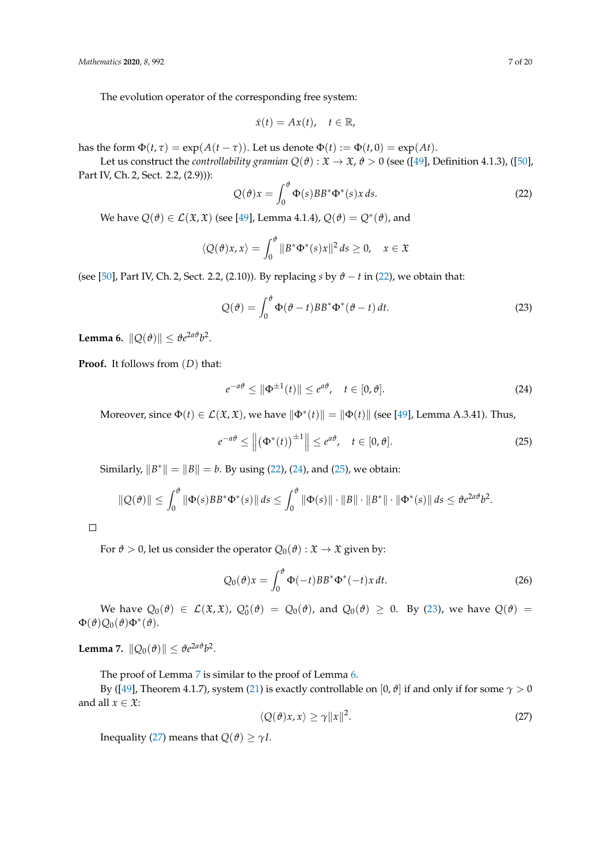The evolution operator of the corresponding free system:

$$
\dot{x}(t) = Ax(t), \quad t \in \mathbb{R},
$$

has the form  $\Phi(t, \tau) = \exp(A(t - \tau))$ . Let us denote  $\Phi(t) := \Phi(t, 0) = \exp(At)$ .

Let us construct the *controllability gramian*  $Q(\theta): \mathfrak{X} \to \mathfrak{X}$ ,  $\theta > 0$  (see ([\[49\]](#page-19-3), Definition 4.1.3), ([\[50\]](#page-19-4), Part IV, Ch. 2, Sect. 2.2, (2.9))):

<span id="page-6-0"></span>
$$
Q(\theta)x = \int_0^{\theta} \Phi(s)BB^* \Phi^*(s)x ds.
$$
 (22)

We have  $Q(\vartheta) \in \mathcal{L}(\mathfrak{X}, \mathfrak{X})$  (see [\[49\]](#page-19-3), Lemma 4.1.4),  $Q(\vartheta) = Q^*(\vartheta)$ , and

$$
\langle Q(\vartheta)x,x\rangle = \int_0^{\vartheta} ||B^*\Phi^*(s)x||^2 ds \ge 0, \quad x \in \mathfrak{X}
$$

(see [\[50\]](#page-19-4), Part IV, Ch. 2, Sect. 2.2, (2.10)). By replacing *s* by  $\theta - t$  in [\(22\)](#page-6-0), we obtain that:

<span id="page-6-3"></span>
$$
Q(\theta) = \int_0^{\theta} \Phi(\theta - t) BB^* \Phi^*(\theta - t) dt.
$$
 (23)

<span id="page-6-5"></span>**Lemma 6.**  $\|Q(\theta)\| \leq \theta e^{2a\theta}b^2$ .

**Proof.** It follows from (*D*) that:

<span id="page-6-1"></span>
$$
e^{-a\vartheta} \le \|\Phi^{\pm 1}(t)\| \le e^{a\vartheta}, \quad t \in [0,\vartheta]. \tag{24}
$$

Moreover, since  $\Phi(t) \in \mathcal{L}(\mathfrak{X}, \mathfrak{X})$ , we have  $\|\Phi^*(t)\| = \|\Phi(t)\|$  (see [\[49\]](#page-19-3), Lemma A.3.41). Thus,

<span id="page-6-2"></span>
$$
e^{-a\vartheta} \le \left\| \left( \Phi^*(t) \right)^{\pm 1} \right\| \le e^{a\vartheta}, \quad t \in [0, \vartheta]. \tag{25}
$$

Similarly,  $||B^*|| = ||B|| = b$ . By using [\(22\)](#page-6-0), [\(24\)](#page-6-1), and [\(25\)](#page-6-2), we obtain:

$$
\|Q(\theta)\| \leq \int_0^{\theta} \|\Phi(s)BB^*\Phi^*(s)\| \, ds \leq \int_0^{\theta} \|\Phi(s)\| \cdot \|B\| \cdot \|B^*\| \cdot \|\Phi^*(s)\| \, ds \leq \theta e^{2a\theta} b^2.
$$

 $\Box$ 

For  $\vartheta > 0$ , let us consider the operator  $Q_0(\vartheta) : \mathfrak{X} \to \mathfrak{X}$  given by:

<span id="page-6-7"></span>
$$
Q_0(\vartheta)x = \int_0^{\vartheta} \Phi(-t)BB^*\Phi^*(-t)x dt.
$$
 (26)

We have  $Q_0(\vartheta) \in \mathcal{L}(\mathfrak{X}, \mathfrak{X})$ ,  $Q_0^*(\vartheta) = Q_0(\vartheta)$ , and  $Q_0(\vartheta) \geq 0$ . By [\(23\)](#page-6-3), we have  $Q(\vartheta) =$  $\Phi(\theta)Q_0(\theta)\Phi^*(\theta).$ 

<span id="page-6-4"></span>**Lemma 7.**  $||Q_0(\theta)|| \leq \theta e^{2a\theta}b^2$ .

The proof of Lemma [7](#page-6-4) is similar to the proof of Lemma [6.](#page-6-5)

By ([\[49\]](#page-19-3), Theorem 4.1.7), system [\(21\)](#page-5-3) is exactly controllable on [0,  $\vartheta$ ] if and only if for some  $\gamma > 0$ and all  $x \in \mathfrak{X}$ :

<span id="page-6-6"></span>
$$
\langle Q(\vartheta)x, x \rangle \ge \gamma \|x\|^2. \tag{27}
$$

Inequality [\(27\)](#page-6-6) means that  $Q(\theta) \geq \gamma I$ .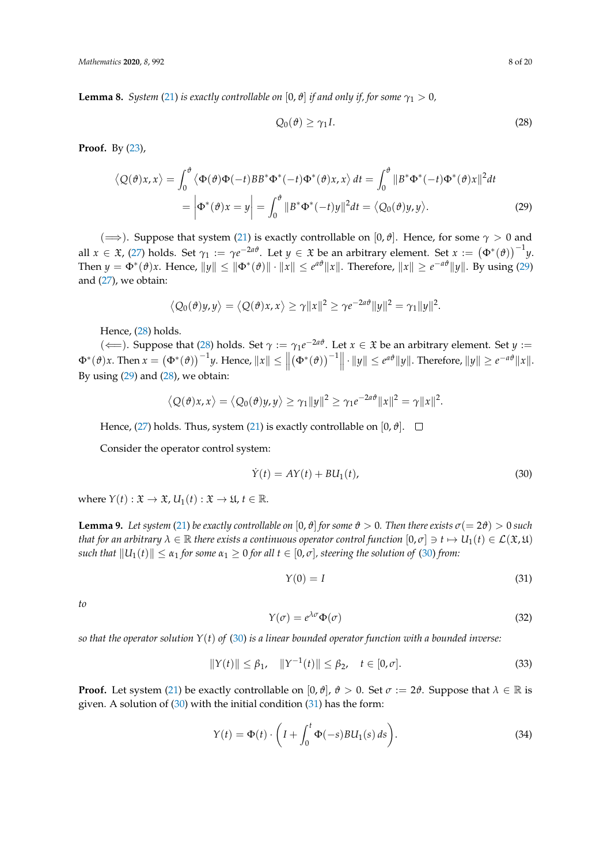<span id="page-7-5"></span>**Lemma 8.** *System* [\(21\)](#page-5-3) *is exactly controllable on* [0,  $\vartheta$ ] *if and only if, for some*  $\gamma_1 > 0$ *,* 

<span id="page-7-1"></span><span id="page-7-0"></span>
$$
Q_0(\vartheta) \ge \gamma_1 I. \tag{28}
$$

**Proof.** By [\(23\)](#page-6-3),

$$
\langle Q(\theta)x, x \rangle = \int_0^{\theta} \langle \Phi(\theta)\Phi(-t)BB^*\Phi^*(-t)\Phi^*(\theta)x, x \rangle dt = \int_0^{\theta} ||B^*\Phi^*(-t)\Phi^*(\theta)x||^2 dt
$$
  
= 
$$
\left| \Phi^*(\theta)x = y \right| = \int_0^{\theta} ||B^*\Phi^*(-t)y||^2 dt = \langle Q_0(\theta)y, y \rangle.
$$
 (29)

( $\implies$ ). Suppose that system [\(21\)](#page-5-3) is exactly controllable on [0,  $\vartheta$ ]. Hence, for some  $\gamma > 0$  and all  $x \in \mathfrak{X}$ , [\(27\)](#page-6-6) holds. Set  $\gamma_1 := \gamma e^{-2a\theta}$ . Let  $y \in \mathfrak{X}$  be an arbitrary element. Set  $x := (\Phi^*(\vartheta))^{-1}y$ . Then  $y = \Phi^*(\vartheta)x$ . Hence,  $||y|| \le ||\Phi^*(\vartheta)|| \cdot ||x|| \le e^{a\vartheta} ||x||$ . Therefore,  $||x|| \ge e^{-a\vartheta} ||y||$ . By using [\(29\)](#page-7-0) and [\(27\)](#page-6-6), we obtain:

$$
\langle Q_0(\vartheta)y,y\rangle = \langle Q(\vartheta)x,x\rangle \ge \gamma \|x\|^2 \ge \gamma e^{-2a\vartheta} \|y\|^2 = \gamma_1 \|y\|^2.
$$

Hence, [\(28\)](#page-7-1) holds.

 $(\Leftarrow)$ . Suppose that [\(28\)](#page-7-1) holds. Set *γ* := *γ*<sub>1</sub>*e*<sup>-2*aθ*</sup>. Let *x* ∈ *X* be an arbitrary element. Set *y* :=  $\Phi^*(\theta)x$ . Then  $x = (\Phi^*(\theta))^{-1}y$ . Hence,  $||x|| \le ||x||$  $(\Phi^*(\theta))^{-1}$  |  $\cdot$  ||*y*||  $\leq e^{a\theta}$  ||*y*||. Therefore, ||*y*||  $\geq e^{-a\theta}$ ||*x*||. By using  $(29)$  and  $(28)$ , we obtain:

$$
\langle Q(\theta)x,x\rangle=\langle Q_0(\theta)y,y\rangle\geq \gamma_1\|y\|^2\geq \gamma_1e^{-2a\theta}\|x\|^2=\gamma\|x\|^2.
$$

Hence,  $(27)$  holds. Thus, system  $(21)$  is exactly controllable on  $[0, \vartheta]$ .  $\square$ 

Consider the operator control system:

<span id="page-7-2"></span>
$$
\dot{Y}(t) = AY(t) + B U_1(t),\tag{30}
$$

where  $Y(t): \mathfrak{X} \to \mathfrak{X}$ ,  $U_1(t): \mathfrak{X} \to \mathfrak{U}$ ,  $t \in \mathbb{R}$ .

<span id="page-7-8"></span>**Lemma 9.** Let system [\(21\)](#page-5-3) be exactly controllable on  $[0, \theta]$  for some  $\theta > 0$ . Then there exists  $\sigma(= 2\theta) > 0$  such *that for an arbitrary*  $\lambda \in \mathbb{R}$  *there exists a continuous operator control function*  $[0,\sigma] \ni t \mapsto U_1(t) \in \mathcal{L}(\mathfrak{X}, \mathfrak{U})$ *such that*  $||U_1(t)|| \leq \alpha_1$  *for some*  $\alpha_1 \geq 0$  *for all*  $t \in [0, \sigma]$ *, steering the solution of* [\(30\)](#page-7-2) *from:* 

<span id="page-7-3"></span>
$$
Y(0) = I \tag{31}
$$

*to*

<span id="page-7-4"></span>
$$
Y(\sigma) = e^{\lambda \sigma} \Phi(\sigma) \tag{32}
$$

*so that the operator solution Y*(*t*) *of* [\(30\)](#page-7-2) *is a linear bounded operator function with a bounded inverse:*

<span id="page-7-7"></span>
$$
||Y(t)|| \le \beta_1, \quad ||Y^{-1}(t)|| \le \beta_2, \quad t \in [0, \sigma]. \tag{33}
$$

**Proof.** Let system [\(21\)](#page-5-3) be exactly controllable on  $[0, \theta]$ ,  $\theta > 0$ . Set  $\sigma := 2\theta$ . Suppose that  $\lambda \in \mathbb{R}$  is given. A solution of  $(30)$  with the initial condition  $(31)$  has the form:

<span id="page-7-6"></span>
$$
Y(t) = \Phi(t) \cdot \left( I + \int_0^t \Phi(-s) B U_1(s) \, ds \right). \tag{34}
$$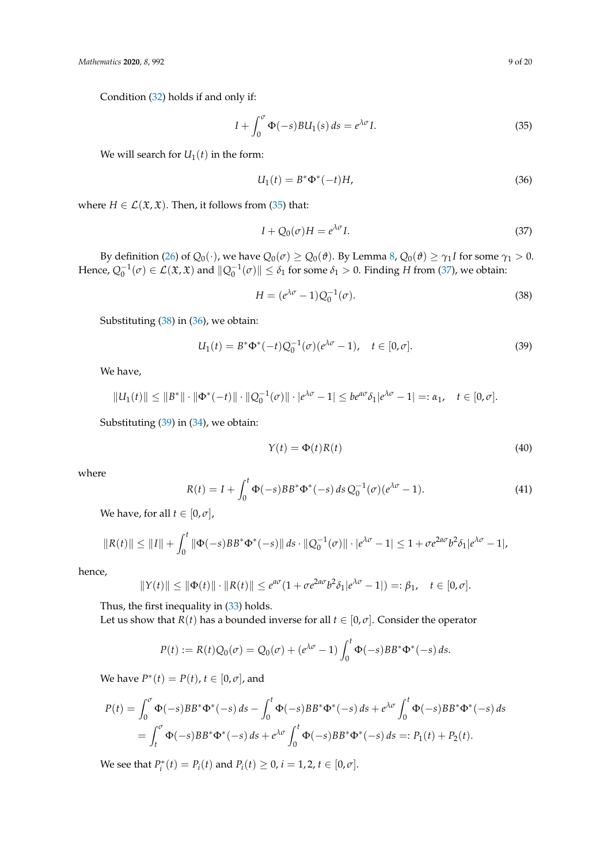Condition [\(32\)](#page-7-4) holds if and only if:

<span id="page-8-0"></span>
$$
I + \int_0^{\sigma} \Phi(-s) B U_1(s) \, ds = e^{\lambda \sigma} I. \tag{35}
$$

We will search for  $U_1(t)$  in the form:

<span id="page-8-3"></span>
$$
U_1(t) = B^* \Phi^*(-t) H,
$$
\n(36)

where *H*  $\in$  *L*( $\mathfrak{X}, \mathfrak{X}$ ). Then, it follows from [\(35\)](#page-8-0) that:

<span id="page-8-1"></span>
$$
I + Q_0(\sigma)H = e^{\lambda \sigma}I. \tag{37}
$$

By definition [\(26\)](#page-6-7) of  $Q_0(\cdot)$ , we have  $Q_0(\sigma) \geq Q_0(\vartheta)$ . By Lemma [8,](#page-7-5)  $Q_0(\vartheta) \geq \gamma_1 I$  for some  $\gamma_1 > 0$ . Hence,  $Q_0^{-1}(\sigma) \in \mathcal{L}(\mathfrak{X}, \mathfrak{X})$  and  $||Q_0^{-1}(\sigma)|| \leq \delta_1$  for some  $\delta_1 > 0$ . Finding *H* from [\(37\)](#page-8-1), we obtain:

<span id="page-8-2"></span>
$$
H = (e^{\lambda \sigma} - 1)Q_0^{-1}(\sigma). \tag{38}
$$

Substituting [\(38\)](#page-8-2) in [\(36\)](#page-8-3), we obtain:

<span id="page-8-4"></span>
$$
U_1(t) = B^* \Phi^*(-t) Q_0^{-1}(\sigma) (e^{\lambda \sigma} - 1), \quad t \in [0, \sigma].
$$
 (39)

We have,

$$
||U_1(t)|| \le ||B^*|| \cdot ||\Phi^*(-t)|| \cdot ||Q_0^{-1}(\sigma)|| \cdot |e^{\lambda \sigma} - 1| \le b e^{a\sigma} \delta_1 |e^{\lambda \sigma} - 1| =: \alpha_1, \quad t \in [0, \sigma].
$$

Substituting [\(39\)](#page-8-4) in [\(34\)](#page-7-6), we obtain:

<span id="page-8-5"></span>
$$
Y(t) = \Phi(t)R(t)
$$
\n(40)

where

<span id="page-8-6"></span>
$$
R(t) = I + \int_0^t \Phi(-s)BB^* \Phi^*(-s) ds Q_0^{-1}(\sigma)(e^{\lambda \sigma} - 1).
$$
 (41)

We have, for all  $t \in [0, \sigma]$ ,

$$
||R(t)|| \le ||I|| + \int_0^t ||\Phi(-s)BB^* \Phi^*(-s)|| ds \cdot ||Q_0^{-1}(\sigma)|| \cdot |e^{\lambda \sigma} - 1| \le 1 + \sigma e^{2a\sigma} b^2 \delta_1 |e^{\lambda \sigma} - 1|,
$$

hence,

$$
||Y(t)|| \le ||\Phi(t)|| \cdot ||R(t)|| \le e^{a\sigma} (1 + \sigma e^{2a\sigma} b^2 \delta_1 |e^{\lambda \sigma} - 1|) =: \beta_1, \quad t \in [0, \sigma].
$$

Thus, the first inequality in  $(33)$  holds.

Let us show that *R*(*t*) has a bounded inverse for all  $t \in [0, \sigma]$ . Consider the operator

$$
P(t) := R(t)Q_0(\sigma) = Q_0(\sigma) + (e^{\lambda \sigma} - 1) \int_0^t \Phi(-s) BB^* \Phi^*(-s) ds.
$$

*We have*  $P^*(t) = P(t)$ ,  $t \in [0, \sigma]$ , and

$$
P(t) = \int_0^{\sigma} \Phi(-s)BB^* \Phi^*(-s) ds - \int_0^t \Phi(-s)BB^* \Phi^*(-s) ds + e^{\lambda \sigma} \int_0^t \Phi(-s)BB^* \Phi^*(-s) ds = \int_t^{\sigma} \Phi(-s)BB^* \Phi^*(-s) ds + e^{\lambda \sigma} \int_0^t \Phi(-s)BB^* \Phi^*(-s) ds =: P_1(t) + P_2(t).
$$

We see that  $P_i^*(t) = P_i(t)$  and  $P_i(t) \ge 0$ ,  $i = 1, 2$ ,  $t \in [0, \sigma]$ .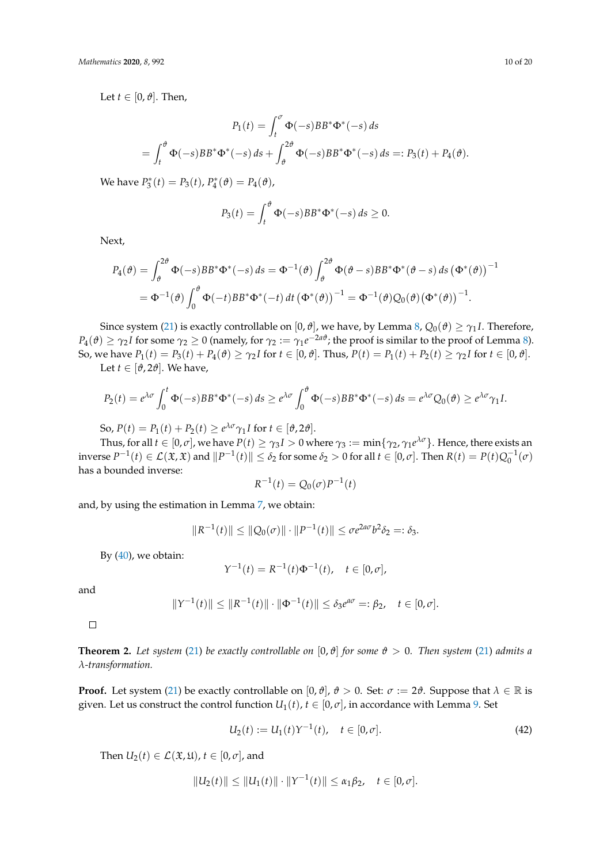Let  $t \in [0, \vartheta]$ . Then,

$$
P_1(t) = \int_t^{\sigma} \Phi(-s)BB^* \Phi^*(-s) ds
$$
  
= 
$$
\int_t^{\vartheta} \Phi(-s)BB^* \Phi^*(-s) ds + \int_{\vartheta}^{2\vartheta} \Phi(-s)BB^* \Phi^*(-s) ds =: P_3(t) + P_4(\vartheta).
$$

 $\text{We have } P_3^*(t) = P_3(t), P_4^*(\theta) = P_4(\theta),$ 

$$
P_3(t) = \int_t^\vartheta \Phi(-s) BB^* \Phi^*(-s) ds \ge 0.
$$

Next,

$$
P_4(\vartheta) = \int_{\vartheta}^{2\vartheta} \Phi(-s) BB^* \Phi^*(-s) ds = \Phi^{-1}(\vartheta) \int_{\vartheta}^{2\vartheta} \Phi(\vartheta - s) BB^* \Phi^*(\vartheta - s) ds (\Phi^*(\vartheta))^{-1}
$$
  
=  $\Phi^{-1}(\vartheta) \int_0^{\vartheta} \Phi(-t) BB^* \Phi^*(-t) dt (\Phi^*(\vartheta))^{-1} = \Phi^{-1}(\vartheta) Q_0(\vartheta) (\Phi^*(\vartheta))^{-1}.$ 

Since system [\(21\)](#page-5-3) is exactly controllable on [0,  $\vartheta$ ], we have, by Lemma [8,](#page-7-5)  $Q_0(\vartheta) \ge \gamma_1 I$ . Therefore,  $P_4(\vartheta) \ge \gamma_2 I$  for some  $\gamma_2 \ge 0$  (namely, for  $\gamma_2 := \gamma_1 e^{-2a\vartheta}$ ; the proof is similar to the proof of Lemma [8\)](#page-7-5). So, we have  $P_1(t) = P_3(t) + P_4(\theta) \ge \gamma_2 I$  for  $t \in [0, \theta]$ . Thus,  $P(t) = P_1(t) + P_2(t) \ge \gamma_2 I$  for  $t \in [0, \theta]$ .

Let *t*  $\in$  [ $\vartheta$ , 2 $\vartheta$ ]. We have,

$$
P_2(t) = e^{\lambda \sigma} \int_0^t \Phi(-s) BB^* \Phi^*(-s) ds \geq e^{\lambda \sigma} \int_0^{\vartheta} \Phi(-s) BB^* \Phi^*(-s) ds = e^{\lambda \sigma} Q_0(\vartheta) \geq e^{\lambda \sigma} \gamma_1 I.
$$

So,  $P(t) = P_1(t) + P_2(t) \ge e^{\lambda \sigma} \gamma_1 I$  for  $t \in [\theta, 2\theta]$ .

Thus, for all  $t\in[0,\sigma]$ , we have  $P(t)\geq\gamma_3I>0$  where  $\gamma_3:=\min\{\gamma_2,\gamma_1e^{\lambda\sigma}\}.$  Hence, there exists an  $\int$  inverse  $P^{-1}(t) \in \mathcal{L}(\mathfrak{X}, \mathfrak{X})$  and  $||P^{-1}(t)|| \leq \delta_2$  for some  $\delta_2 > 0$  for all  $t \in [0, \sigma]$ . Then  $R(t) = P(t)Q_0^{-1}(\sigma)$ has a bounded inverse:

$$
R^{-1}(t) = Q_0(\sigma) P^{-1}(t)
$$

and, by using the estimation in Lemma [7,](#page-6-4) we obtain:

$$
||R^{-1}(t)|| \le ||Q_0(\sigma)|| \cdot ||P^{-1}(t)|| \le \sigma e^{2a\sigma} b^2 \delta_2 =: \delta_3.
$$

By  $(40)$ , we obtain:

$$
Y^{-1}(t) = R^{-1}(t)\Phi^{-1}(t), \quad t \in [0, \sigma],
$$

and

$$
||Y^{-1}(t)|| \le ||R^{-1}(t)|| \cdot ||\Phi^{-1}(t)|| \le \delta_3 e^{a\sigma} =: \beta_2, \quad t \in [0, \sigma].
$$

 $\Box$ 

<span id="page-9-0"></span>**Theorem 2.** Let system [\(21\)](#page-5-3) be exactly controllable on  $[0, \vartheta]$  for some  $\vartheta > 0$ . Then system (21) admits a *λ-transformation.*

**Proof.** Let system [\(21\)](#page-5-3) be exactly controllable on  $[0, \vartheta]$ ,  $\vartheta > 0$ . Set:  $\sigma := 2\vartheta$ . Suppose that  $\lambda \in \mathbb{R}$  is given. Let us construct the control function  $U_1(t)$ ,  $t \in [0, \sigma]$ , in accordance with Lemma [9.](#page-7-8) Set

<span id="page-9-1"></span>
$$
U_2(t) := U_1(t)Y^{-1}(t), \quad t \in [0, \sigma].
$$
\n(42)

Then  $U_2(t) \in \mathcal{L}(\mathfrak{X}, \mathfrak{U}), t \in [0, \sigma]$ , and

$$
||U_2(t)|| \le ||U_1(t)|| \cdot ||Y^{-1}(t)|| \le \alpha_1 \beta_2, \quad t \in [0, \sigma].
$$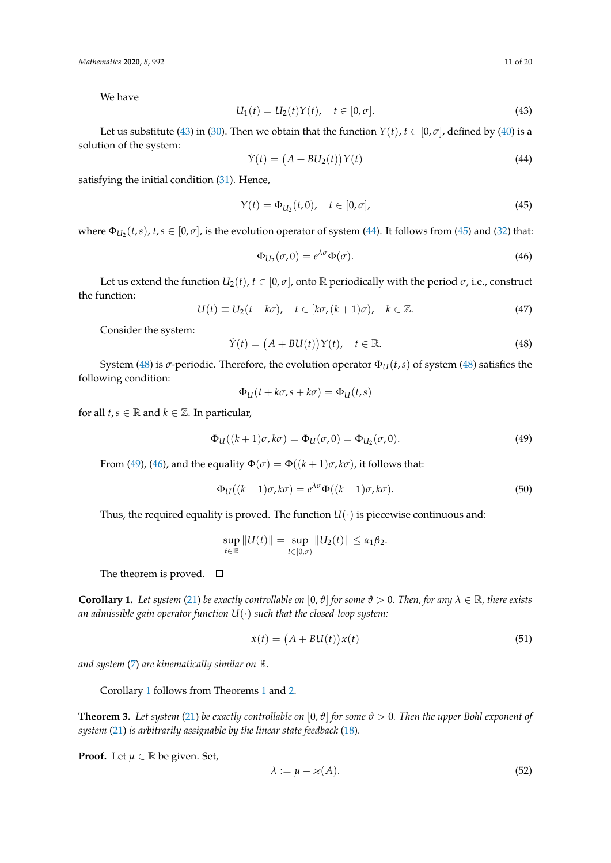We have

<span id="page-10-0"></span>
$$
U_1(t) = U_2(t)Y(t), \quad t \in [0, \sigma].
$$
\n(43)

Let us substitute [\(43\)](#page-10-0) in [\(30\)](#page-7-2). Then we obtain that the function  $Y(t)$ ,  $t \in [0, \sigma]$ , defined by [\(40\)](#page-8-5) is a solution of the system:

<span id="page-10-1"></span>
$$
\dot{Y}(t) = (A + BL_2(t))Y(t)
$$
\n(44)

satisfying the initial condition [\(31\)](#page-7-3). Hence,

<span id="page-10-2"></span>
$$
Y(t) = \Phi_{U_2}(t, 0), \quad t \in [0, \sigma],
$$
\n(45)

where  $\Phi_{U_2}(t,s)$ ,  $t,s \in [0,\sigma]$ , is the evolution operator of system [\(44\)](#page-10-1). It follows from [\(45\)](#page-10-2) and [\(32\)](#page-7-4) that:

<span id="page-10-5"></span>
$$
\Phi_{U_2}(\sigma, 0) = e^{\lambda \sigma} \Phi(\sigma). \tag{46}
$$

Let us extend the function  $U_2(t)$ ,  $t \in [0, \sigma]$ , onto R periodically with the period  $\sigma$ , i.e., construct the function:

<span id="page-10-10"></span>
$$
U(t) \equiv U_2(t - k\sigma), \quad t \in [k\sigma, (k+1)\sigma), \quad k \in \mathbb{Z}.
$$
 (47)

Consider the system:

<span id="page-10-3"></span>
$$
\dot{Y}(t) = (A + BU(t))Y(t), \quad t \in \mathbb{R}.
$$
\n(48)

System [\(48\)](#page-10-3) is *σ*-periodic. Therefore, the evolution operator  $\Phi_{II}(t,s)$  of system (48) satisfies the following condition:

$$
\Phi_U(t + k\sigma, s + k\sigma) = \Phi_U(t, s)
$$

for all  $t, s \in \mathbb{R}$  and  $k \in \mathbb{Z}$ . In particular,

<span id="page-10-4"></span>
$$
\Phi_{U}((k+1)\sigma,k\sigma) = \Phi_{U}(\sigma,0) = \Phi_{U_2}(\sigma,0). \tag{49}
$$

From [\(49\)](#page-10-4), [\(46\)](#page-10-5), and the equality  $\Phi(\sigma) = \Phi((k+1)\sigma, k\sigma)$ , it follows that:

<span id="page-10-9"></span>
$$
\Phi_{\mathcal{U}}((k+1)\sigma,k\sigma) = e^{\lambda\sigma}\Phi((k+1)\sigma,k\sigma). \tag{50}
$$

Thus, the required equality is proved. The function  $U(\cdot)$  is piecewise continuous and:

$$
\sup_{t \in \mathbb{R}} \|U(t)\| = \sup_{t \in [0,\sigma)} \|U_2(t)\| \le \alpha_1 \beta_2.
$$

The theorem is proved.  $\square$ 

<span id="page-10-6"></span>**Corollary 1.** Let system [\(21\)](#page-5-3) be exactly controllable on [0,  $\vartheta$ ] for some  $\vartheta > 0$ . Then, for any  $\lambda \in \mathbb{R}$ , there exists *an admissible gain operator function U*(·) *such that the closed-loop system:*

<span id="page-10-7"></span>
$$
\dot{x}(t) = (A + BU(t))x(t) \tag{51}
$$

*and system* [\(7\)](#page-2-2) *are kinematically similar on* R*.*

Corollary [1](#page-10-6) follows from Theorems [1](#page-5-4) and [2.](#page-9-0)

**Theorem 3.** Let system [\(21\)](#page-5-3) be exactly controllable on  $[0, \vartheta]$  for some  $\vartheta > 0$ . Then the upper Bohl exponent of *system* [\(21\)](#page-5-3) *is arbitrarily assignable by the linear state feedback* [\(18\)](#page-4-3)*.*

**Proof.** Let  $\mu \in \mathbb{R}$  be given. Set,

<span id="page-10-8"></span>
$$
\lambda := \mu - \varkappa(A). \tag{52}
$$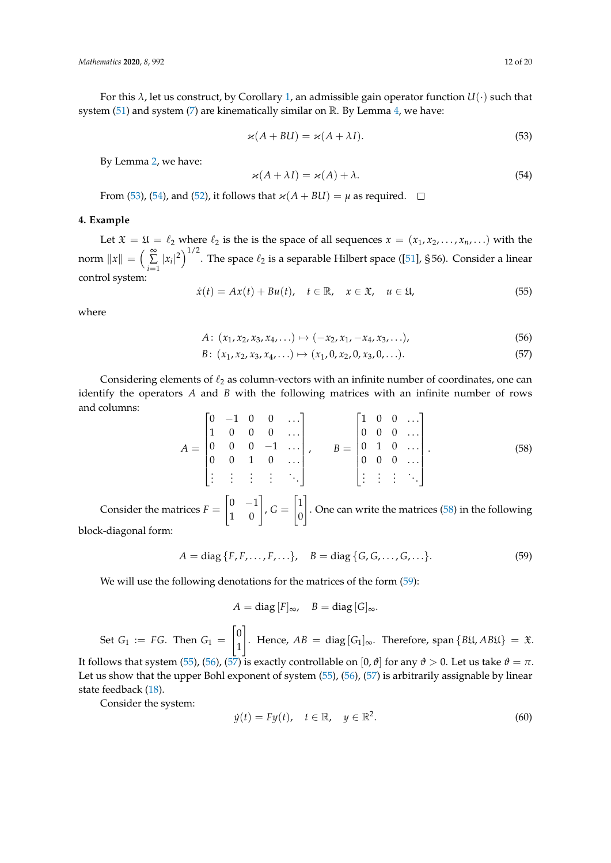For this *λ*, let us construct, by Corollary [1,](#page-10-6) an admissible gain operator function *U*(·) such that system [\(51\)](#page-10-7) and system [\(7\)](#page-2-2) are kinematically similar on  $\mathbb{R}$ . By Lemma [4,](#page-3-6) we have:

<span id="page-11-1"></span>
$$
\varkappa(A + BU) = \varkappa(A + \lambda I). \tag{53}
$$

By Lemma [2,](#page-3-7) we have:

<span id="page-11-6"></span><span id="page-11-2"></span>
$$
\varkappa(A + \lambda I) = \varkappa(A) + \lambda. \tag{54}
$$

From [\(53\)](#page-11-1), [\(54\)](#page-11-2), and [\(52\)](#page-10-8), it follows that  $\varkappa(A + BLI) = \mu$  as required.  $\Box$ 

## <span id="page-11-0"></span>**4. Example**

Let  $\mathfrak{X} = \mathfrak{U} = \ell_2$  where  $\ell_2$  is the is the space of all sequences  $x = (x_1, x_2, \dots, x_n, \dots)$  with the norm  $||x|| = \left(\begin{array}{c} \infty \\ \sum \end{array}\right)$  $\sum_{i=1}^{\infty} |x_i|^2$ <sup>1/2</sup>. The space  $\ell_2$  is a separable Hilbert space ([\[51\]](#page-19-5), § 56). Consider a linear control system:

<span id="page-11-5"></span>
$$
\dot{x}(t) = Ax(t) + Bu(t), \quad t \in \mathbb{R}, \quad x \in \mathfrak{X}, \quad u \in \mathfrak{U}, \tag{55}
$$

where

<span id="page-11-7"></span>
$$
A: (x_1, x_2, x_3, x_4, \ldots) \mapsto (-x_2, x_1, -x_4, x_3, \ldots),
$$
\n(56)

$$
B: (x_1, x_2, x_3, x_4, \ldots) \mapsto (x_1, 0, x_2, 0, x_3, 0, \ldots). \tag{57}
$$

Considering elements of  $\ell_2$  as column-vectors with an infinite number of coordinates, one can identify the operators *A* and *B* with the following matrices with an infinite number of rows and columns:  $\overline{a}$ 

<span id="page-11-3"></span>
$$
A = \begin{bmatrix} 0 & -1 & 0 & 0 & \dots \\ 1 & 0 & 0 & 0 & \dots \\ 0 & 0 & 0 & -1 & \dots \\ 0 & 0 & 1 & 0 & \dots \\ \vdots & \vdots & \vdots & \vdots & \ddots \end{bmatrix}, \qquad B = \begin{bmatrix} 1 & 0 & 0 & \dots \\ 0 & 0 & 0 & \dots \\ 0 & 1 & 0 & \dots \\ 0 & 0 & 0 & \dots \\ \vdots & \vdots & \vdots & \ddots \end{bmatrix}.
$$
 (58)

Consider the matrices  $F =$  $\begin{bmatrix} 0 & -1 \\ 1 & 0 \end{bmatrix}$ ,  $G =$  $\lceil 1 \rceil$  $\boldsymbol{0}$ 1 . One can write the matrices [\(58\)](#page-11-3) in the following block-diagonal form:

<span id="page-11-4"></span>
$$
A = diag\{F, F, \dots, F, \dots\}, \quad B = diag\{G, G, \dots, G, \dots\}.
$$
 (59)

We will use the following denotations for the matrices of the form [\(59\)](#page-11-4):

$$
A = \text{diag}[F]_{\infty}, \quad B = \text{diag}[G]_{\infty}.
$$

Set  $G_1 := FG$ . Then  $G_1 =$  $\lceil 0$ 1 1 . Hence,  $AB = \text{diag}[G_1]_{∞}$ . Therefore, span {*B*\L, *AB*\L} =  $\mathfrak{X}$ . It follows that system [\(55\)](#page-11-5), [\(56\)](#page-11-6), [\(57\)](#page-11-7) is exactly controllable on [0,  $\vartheta$ ] for any  $\vartheta > 0$ . Let us take  $\vartheta = \pi$ . Let us show that the upper Bohl exponent of system [\(55\)](#page-11-5), [\(56\)](#page-11-6), [\(57\)](#page-11-7) is arbitrarily assignable by linear

state feedback [\(18\)](#page-4-3). Consider the system:

<span id="page-11-8"></span>
$$
\dot{y}(t) = Fy(t), \quad t \in \mathbb{R}, \quad y \in \mathbb{R}^2. \tag{60}
$$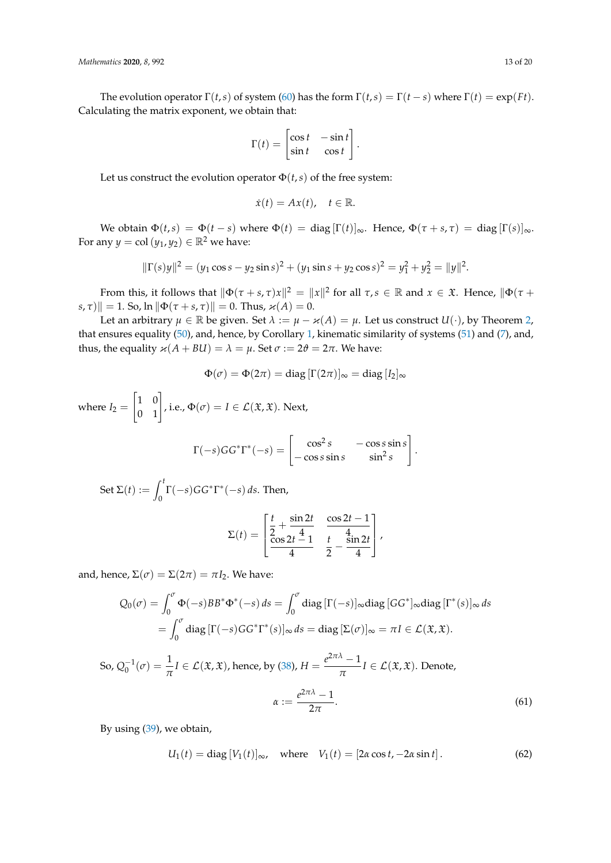The evolution operator  $\Gamma(t,s)$  of system [\(60\)](#page-11-8) has the form  $\Gamma(t,s) = \Gamma(t-s)$  where  $\Gamma(t) = \exp(Ft)$ . Calculating the matrix exponent, we obtain that:

$$
\Gamma(t) = \begin{bmatrix} \cos t & -\sin t \\ \sin t & \cos t \end{bmatrix}.
$$

Let us construct the evolution operator  $\Phi(t,s)$  of the free system:

$$
\dot{x}(t) = Ax(t), \quad t \in \mathbb{R}.
$$

We obtain  $\Phi(t,s) = \Phi(t-s)$  where  $\Phi(t) = \text{diag}[\Gamma(t)]_{\infty}$ . Hence,  $\Phi(\tau+s,\tau) = \text{diag}[\Gamma(s)]_{\infty}$ . For any  $y = \text{col}(y_1, y_2) \in \mathbb{R}^2$  we have:

$$
\|\Gamma(s)y\|^2 = (y_1 \cos s - y_2 \sin s)^2 + (y_1 \sin s + y_2 \cos s)^2 = y_1^2 + y_2^2 = \|y\|^2.
$$

From this, it follows that  $\|\Phi(\tau+s,\tau)x\|^2 = \|x\|^2$  for all  $\tau,s \in \mathbb{R}$  and  $x \in \mathfrak{X}$ . Hence,  $\|\Phi(\tau+s,x)\|^2 = \|x\|^2$  $|s, \tau\rangle$ || = 1. So, ln  $\|\Phi(\tau + s, \tau)\| = 0$ . Thus,  $\varkappa(A) = 0$ .

Let an arbitrary  $\mu \in \mathbb{R}$  be given. Set  $\lambda := \mu - \varkappa(A) = \mu$ . Let us construct  $U(\cdot)$ , by Theorem [2,](#page-9-0) that ensures equality [\(50\)](#page-10-9), and, hence, by Corollary [1,](#page-10-6) kinematic similarity of systems [\(51\)](#page-10-7) and [\(7\)](#page-2-2), and, thus, the equality  $\varkappa(A + BU) = \lambda = \mu$ . Set  $\sigma := 2\vartheta = 2\pi$ . We have:

$$
\Phi(\sigma) = \Phi(2\pi) = \text{diag} \left[ \Gamma(2\pi) \right]_{\infty} = \text{diag} \left[ I_2 \right]_{\infty}
$$

where  $I_2 =$  $\begin{bmatrix} 1 & 0 \\ 0 & 1 \end{bmatrix}$ , i.e.,  $\Phi(\sigma) = I \in \mathcal{L}(\mathfrak{X}, \mathfrak{X})$ . Next,

$$
\Gamma(-s)GG^*\Gamma^*(-s) = \begin{bmatrix} \cos^2 s & -\cos s \sin s \\ -\cos s \sin s & \sin^2 s \end{bmatrix}.
$$

Set  $\Sigma(t) := \int_t^t$  $\int_0^1 \Gamma(-s)GG^* \Gamma^*(-s) ds$ . Then,

$$
\Sigma(t) = \begin{bmatrix} \frac{t}{2} + \frac{\sin 2t}{4} & \frac{\cos 2t - 1}{4} \\ \frac{\cos 2t - 1}{4} & \frac{t}{2} - \frac{\sin 2t}{4} \end{bmatrix},
$$

and, hence,  $\Sigma(\sigma) = \Sigma(2\pi) = \pi I_2$ . We have:

$$
Q_0(\sigma) = \int_0^{\sigma} \Phi(-s) BB^* \Phi^*(-s) ds = \int_0^{\sigma} \text{diag} [\Gamma(-s)]_{\infty} \text{diag} [GG^*]_{\infty} \text{diag} [\Gamma^*(s)]_{\infty} ds
$$
  
= 
$$
\int_0^{\sigma} \text{diag} [\Gamma(-s) GG^* \Gamma^*(s)]_{\infty} ds = \text{diag} [\Sigma(\sigma)]_{\infty} = \pi I \in \mathcal{L}(\mathfrak{X}, \mathfrak{X}).
$$

So,  $Q_0^{-1}(\sigma) = \frac{1}{\pi}I \in \mathcal{L}(\mathfrak{X}, \mathfrak{X})$ , hence, by [\(38\)](#page-8-2),  $H = \frac{e^{2\pi\lambda}-1}{\pi}$  $\frac{1}{\pi} I \in \mathcal{L}(\mathfrak{X}, \mathfrak{X})$ . Denote,  $\alpha := \frac{e^{2\pi\lambda}-1}{2\pi}$ 2*π* .  $(61)$ 

By using [\(39\)](#page-8-4), we obtain,

<span id="page-12-1"></span><span id="page-12-0"></span>
$$
U_1(t) = \text{diag}[V_1(t)]_{\infty}, \quad \text{where} \quad V_1(t) = [2\alpha \cos t, -2\alpha \sin t]. \tag{62}
$$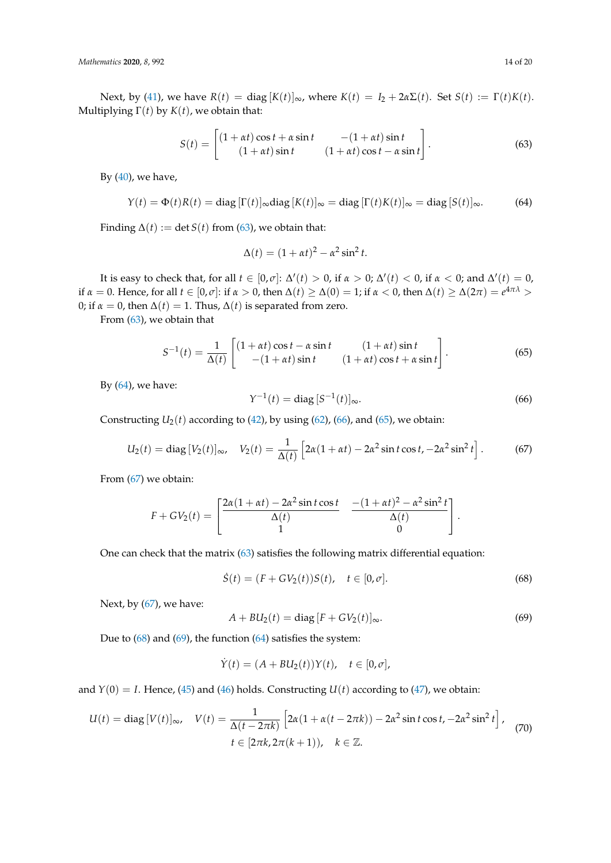Next, by [\(41\)](#page-8-6), we have  $R(t) = \text{diag } [K(t)]_{\infty}$ , where  $K(t) = I_2 + 2\alpha \Sigma(t)$ . Set  $S(t) := \Gamma(t)K(t)$ . Multiplying  $\Gamma(t)$  by  $K(t)$ , we obtain that:

<span id="page-13-0"></span>
$$
S(t) = \begin{bmatrix} (1 + \alpha t) \cos t + \alpha \sin t & -(1 + \alpha t) \sin t \\ (1 + \alpha t) \sin t & (1 + \alpha t) \cos t - \alpha \sin t \end{bmatrix}.
$$
 (63)

By  $(40)$ , we have,

<span id="page-13-1"></span>
$$
Y(t) = \Phi(t)R(t) = \text{diag} [ \Gamma(t) ]_{\infty} \text{diag} [ K(t) ]_{\infty} = \text{diag} [ \Gamma(t)K(t) ]_{\infty} = \text{diag} [ S(t) ]_{\infty}.
$$
 (64)

Finding  $\Delta(t) := \det S(t)$  from [\(63\)](#page-13-0), we obtain that:

$$
\Delta(t) = (1 + \alpha t)^2 - \alpha^2 \sin^2 t.
$$

It is easy to check that, for all  $t \in [0,\sigma]$ :  $\Delta'(t) > 0$ , if  $\alpha > 0$ ;  $\Delta'(t) < 0$ , if  $\alpha < 0$ ; and  $\Delta'(t) = 0$ , if *α* = 0. Hence, for all *t* ∈ [0, *σ*]: if *α* > 0, then ∆(*t*) ≥ ∆(0) = 1; if *α* < 0, then ∆(*t*) ≥ ∆(2*π*) = *e* <sup>4</sup>*πλ* > 0; if  $\alpha = 0$ , then  $\Delta(t) = 1$ . Thus,  $\Delta(t)$  is separated from zero.

From [\(63\)](#page-13-0), we obtain that

<span id="page-13-3"></span>
$$
S^{-1}(t) = \frac{1}{\Delta(t)} \begin{bmatrix} (1 + \alpha t) \cos t - \alpha \sin t & (1 + \alpha t) \sin t \\ -(1 + \alpha t) \sin t & (1 + \alpha t) \cos t + \alpha \sin t \end{bmatrix}.
$$
 (65)

By  $(64)$ , we have:

<span id="page-13-2"></span>
$$
Y^{-1}(t) = \text{diag}\,[S^{-1}(t)]_{\infty}.\tag{66}
$$

Constructing  $U_2(t)$  according to [\(42\)](#page-9-1), by using [\(62\)](#page-12-0), [\(66\)](#page-13-2), and [\(65\)](#page-13-3), we obtain:

<span id="page-13-4"></span>
$$
U_2(t) = \text{diag}\left[V_2(t)\right]_{\infty}, \quad V_2(t) = \frac{1}{\Delta(t)} \left[2\alpha(1+\alpha t) - 2\alpha^2 \sin t \cos t, -2\alpha^2 \sin^2 t\right].\tag{67}
$$

From [\(67\)](#page-13-4) we obtain:

$$
F + GV_2(t) = \begin{bmatrix} \frac{2\alpha(1+\alpha t) - 2\alpha^2 \sin t \cos t}{\Delta(t)} & \frac{-(1+\alpha t)^2 - \alpha^2 \sin^2 t}{\Delta(t)} \\ 1 & 0 \end{bmatrix}.
$$

One can check that the matrix [\(63\)](#page-13-0) satisfies the following matrix differential equation:

<span id="page-13-5"></span>
$$
\dot{S}(t) = (F + GV_2(t))S(t), \quad t \in [0, \sigma].
$$
\n(68)

Next, by  $(67)$ , we have:

<span id="page-13-6"></span>
$$
A + BU_2(t) = \text{diag}[F + GV_2(t)]_{\infty}.
$$
\n(69)

Due to  $(68)$  and  $(69)$ , the function  $(64)$  satisfies the system:

$$
\dot{Y}(t) = (A + BU_2(t))Y(t), \quad t \in [0, \sigma],
$$

and  $Y(0) = I$ . Hence, [\(45\)](#page-10-2) and [\(46\)](#page-10-5) holds. Constructing  $U(t)$  according to [\(47\)](#page-10-10), we obtain:

<span id="page-13-7"></span>
$$
U(t) = \text{diag}\left[V(t)\right]_{\infty}, \quad V(t) = \frac{1}{\Delta(t - 2\pi k)} \left[2\alpha(1 + \alpha(t - 2\pi k)) - 2\alpha^2 \sin t \cos t, -2\alpha^2 \sin^2 t\right],
$$
  

$$
t \in [2\pi k, 2\pi(k+1)), \quad k \in \mathbb{Z}.
$$
 (70)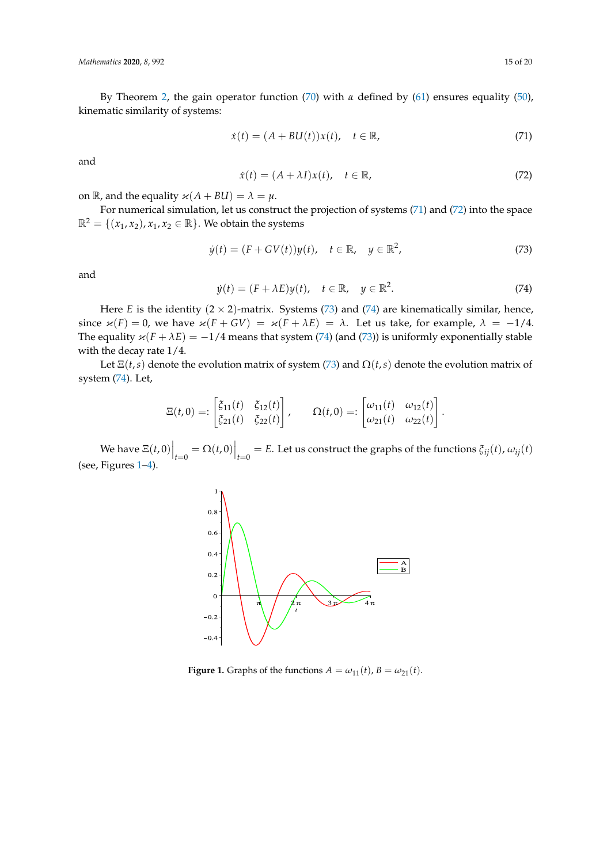By Theorem [2,](#page-9-0) the gain operator function [\(70\)](#page-13-7) with *α* defined by [\(61\)](#page-12-1) ensures equality [\(50\)](#page-10-9), kinematic similarity of systems:

<span id="page-14-0"></span>
$$
\dot{x}(t) = (A + BL(t))x(t), \quad t \in \mathbb{R}, \tag{71}
$$

and

<span id="page-14-1"></span>
$$
\dot{x}(t) = (A + \lambda I)x(t), \quad t \in \mathbb{R}, \tag{72}
$$

on  $\mathbb{R}$ , and the equality  $\varkappa(A + BU) = \lambda = \mu$ .

For numerical simulation, let us construct the projection of systems [\(71\)](#page-14-0) and [\(72\)](#page-14-1) into the space  $\mathbb{R}^2 = \{(x_1, x_2), x_1, x_2 \in \mathbb{R}\}$ . We obtain the systems

<span id="page-14-2"></span>
$$
\dot{y}(t) = (F + GV(t))y(t), \quad t \in \mathbb{R}, \quad y \in \mathbb{R}^2,
$$
\n
$$
(73)
$$

and

<span id="page-14-3"></span>
$$
\dot{y}(t) = (F + \lambda E)y(t), \quad t \in \mathbb{R}, \quad y \in \mathbb{R}^2. \tag{74}
$$

Here *E* is the identity  $(2 \times 2)$ -matrix. Systems [\(73\)](#page-14-2) and [\(74\)](#page-14-3) are kinematically similar, hence, since  $\varkappa(F) = 0$ , we have  $\varkappa(F + GV) = \varkappa(F + \lambda E) = \lambda$ . Let us take, for example,  $\lambda = -1/4$ . The equality  $\varkappa(F + \lambda E) = -1/4$  means that system [\(74\)](#page-14-3) (and [\(73\)](#page-14-2)) is uniformly exponentially stable with the decay rate 1/4.

Let  $\Xi(t,s)$  denote the evolution matrix of system [\(73\)](#page-14-2) and  $\Omega(t,s)$  denote the evolution matrix of system [\(74\)](#page-14-3). Let,

$$
\Xi(t,0)=:\begin{bmatrix} \xi_{11}(t) & \xi_{12}(t) \\ \xi_{21}(t) & \xi_{22}(t) \end{bmatrix}, \qquad \Omega(t,0)=:\begin{bmatrix} \omega_{11}(t) & \omega_{12}(t) \\ \omega_{21}(t) & \omega_{22}(t) \end{bmatrix}.
$$

<span id="page-14-4"></span> $\mathbb{E}[\mathbf{w}_t(t,0)]_{t=0} = \Omega(t,0) \Big|_{t=0} = E$ . Let us construct the graphs of the functions  $\zeta_{ij}(t)$ ,  $\omega_{ij}(t)$ (see, Figures [1](#page-14-4)[–4\)](#page-15-0).



**Figure 1.** Graphs of the functions  $A = \omega_{11}(t)$ ,  $B = \omega_{21}(t)$ .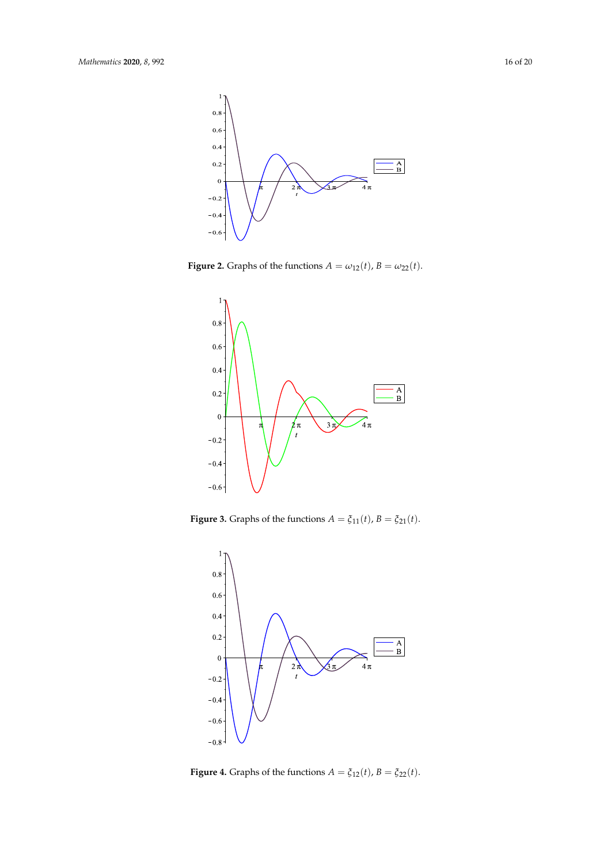

**Figure 2.** Graphs of the functions  $A = \omega_{12}(t)$ ,  $B = \omega_{22}(t)$ .



<span id="page-15-0"></span>**Figure 3.** Graphs of the functions  $A = \xi_{11}(t)$ ,  $B = \xi_{21}(t)$ .



**Figure 4.** Graphs of the functions  $A = \xi_{12}(t)$ ,  $B = \xi_{22}(t)$ .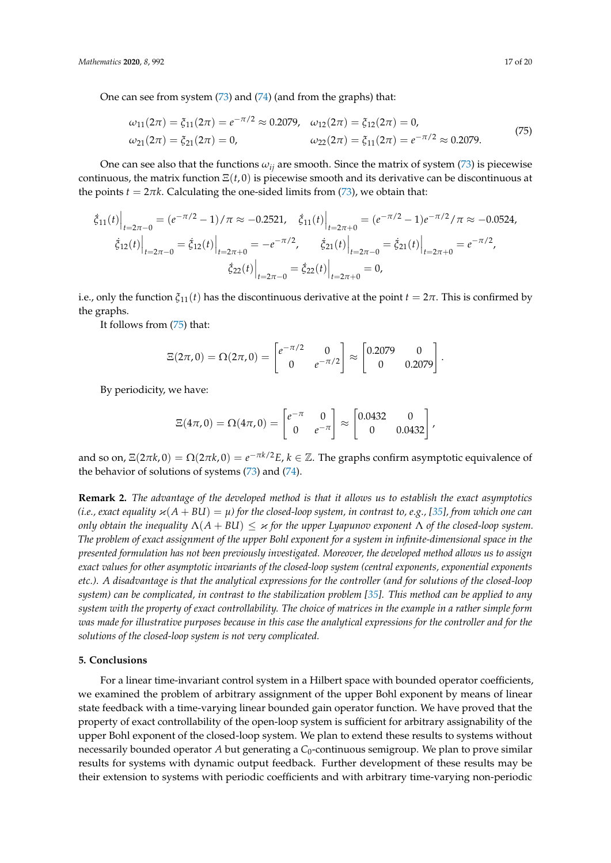One can see from system [\(73\)](#page-14-2) and [\(74\)](#page-14-3) (and from the graphs) that:

<span id="page-16-1"></span>
$$
\omega_{11}(2\pi) = \xi_{11}(2\pi) = e^{-\pi/2} \approx 0.2079, \quad \omega_{12}(2\pi) = \xi_{12}(2\pi) = 0,
$$
  
\n
$$
\omega_{21}(2\pi) = \xi_{21}(2\pi) = 0, \qquad \omega_{22}(2\pi) = \xi_{11}(2\pi) = e^{-\pi/2} \approx 0.2079.
$$
\n(75)

One can see also that the functions  $\omega_{ij}$  are smooth. Since the matrix of system [\(73\)](#page-14-2) is piecewise continuous, the matrix function Ξ(*t*, 0) is piecewise smooth and its derivative can be discontinuous at the points  $t = 2\pi k$ . Calculating the one-sided limits from [\(73\)](#page-14-2), we obtain that:

$$
\left. \begin{aligned}\n\dot{\xi}_{11}(t)\right|_{t=2\pi-0} &= (e^{-\pi/2}-1)/\pi \approx -0.2521, \quad \dot{\xi}_{11}(t)\Big|_{t=2\pi+0} = (e^{-\pi/2}-1)e^{-\pi/2}/\pi \approx -0.0524, \\
\left.\dot{\xi}_{12}(t)\right|_{t=2\pi-0} &= \left.\dot{\xi}_{12}(t)\right|_{t=2\pi+0} = -e^{-\pi/2}, \quad \left.\dot{\xi}_{21}(t)\right|_{t=2\pi-0} = \left.\dot{\xi}_{21}(t)\right|_{t=2\pi+0} = e^{-\pi/2}, \\
\left.\dot{\xi}_{22}(t)\right|_{t=2\pi-0} &= \left.\dot{\xi}_{22}(t)\right|_{t=2\pi+0} = 0,\n\end{aligned}
$$

i.e., only the function  $\zeta_{11}(t)$  has the discontinuous derivative at the point  $t = 2\pi$ . This is confirmed by the graphs.

It follows from [\(75\)](#page-16-1) that:

$$
\Xi(2\pi,0) = \Omega(2\pi,0) = \begin{bmatrix} e^{-\pi/2} & 0 \\ 0 & e^{-\pi/2} \end{bmatrix} \approx \begin{bmatrix} 0.2079 & 0 \\ 0 & 0.2079 \end{bmatrix}.
$$

By periodicity, we have:

$$
\Xi(4\pi,0) = \Omega(4\pi,0) = \begin{bmatrix} e^{-\pi} & 0 \\ 0 & e^{-\pi} \end{bmatrix} \approx \begin{bmatrix} 0.0432 & 0 \\ 0 & 0.0432 \end{bmatrix},
$$

and so on,  $\Xi(2\pi k, 0) = \Omega(2\pi k, 0) = e^{-\pi k/2}E$ ,  $k \in \mathbb{Z}$ . The graphs confirm asymptotic equivalence of the behavior of solutions of systems [\(73\)](#page-14-2) and [\(74\)](#page-14-3).

**Remark 2.** *The advantage of the developed method is that it allows us to establish the exact asymptotics (i.e., exact equality*  $\varkappa(A + BL) = \mu$ ) for the closed-loop system, in contrast to, e.g., [\[35\]](#page-18-10), from which one can *only obtain the inequality*  $\Lambda(A + BU) \leq \varkappa$  *for the upper Lyapunov exponent*  $\Lambda$  *of the closed-loop system. The problem of exact assignment of the upper Bohl exponent for a system in infinite-dimensional space in the presented formulation has not been previously investigated. Moreover, the developed method allows us to assign exact values for other asymptotic invariants of the closed-loop system (central exponents, exponential exponents etc.). A disadvantage is that the analytical expressions for the controller (and for solutions of the closed-loop system) can be complicated, in contrast to the stabilization problem [\[35\]](#page-18-10). This method can be applied to any system with the property of exact controllability. The choice of matrices in the example in a rather simple form was made for illustrative purposes because in this case the analytical expressions for the controller and for the solutions of the closed-loop system is not very complicated.*

## <span id="page-16-0"></span>**5. Conclusions**

For a linear time-invariant control system in a Hilbert space with bounded operator coefficients, we examined the problem of arbitrary assignment of the upper Bohl exponent by means of linear state feedback with a time-varying linear bounded gain operator function. We have proved that the property of exact controllability of the open-loop system is sufficient for arbitrary assignability of the upper Bohl exponent of the closed-loop system. We plan to extend these results to systems without necessarily bounded operator *A* but generating a  $C_0$ -continuous semigroup. We plan to prove similar results for systems with dynamic output feedback. Further development of these results may be their extension to systems with periodic coefficients and with arbitrary time-varying non-periodic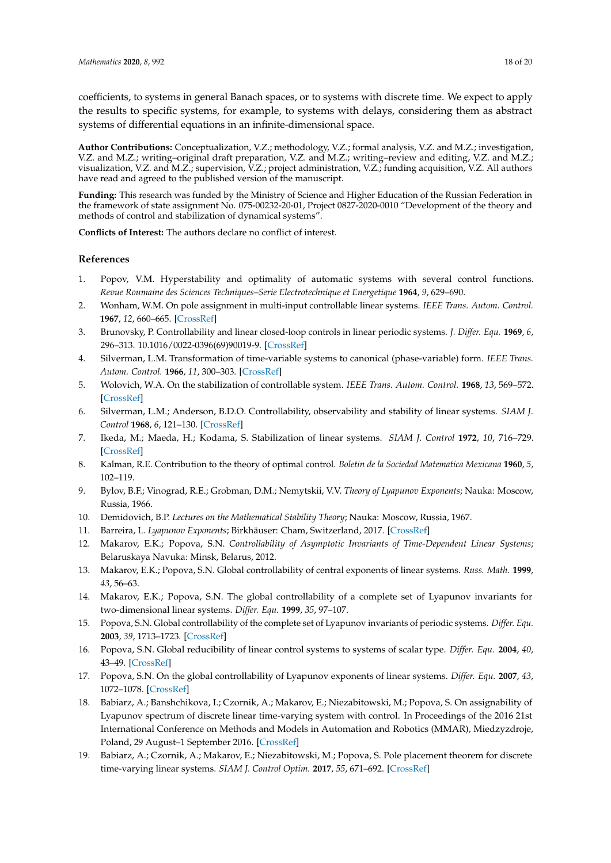coefficients, to systems in general Banach spaces, or to systems with discrete time. We expect to apply the results to specific systems, for example, to systems with delays, considering them as abstract systems of differential equations in an infinite-dimensional space.

**Author Contributions:** Conceptualization, V.Z.; methodology, V.Z.; formal analysis, V.Z. and M.Z.; investigation, V.Z. and M.Z.; writing–original draft preparation, V.Z. and M.Z.; writing–review and editing, V.Z. and M.Z.; visualization, V.Z. and M.Z.; supervision, V.Z.; project administration, V.Z.; funding acquisition, V.Z. All authors have read and agreed to the published version of the manuscript.

**Funding:** This research was funded by the Ministry of Science and Higher Education of the Russian Federation in the framework of state assignment No. 075-00232-20-01, Project 0827-2020-0010 "Development of the theory and methods of control and stabilization of dynamical systems".

**Conflicts of Interest:** The authors declare no conflict of interest.

## **References**

- <span id="page-17-0"></span>1. Popov, V.M. Hyperstability and optimality of automatic systems with several control functions. *Revue Roumaine des Sciences Techniques–Serie Electrotechnique et Energetique* **1964**, *9*, 629–690.
- <span id="page-17-1"></span>2. Wonham, W.M. On pole assignment in multi-input controllable linear systems. *IEEE Trans. Autom. Control.* **1967**, *12*, 660–665. [\[CrossRef\]](http://dx.doi.org/10.1109/TAC.1967.1098739)
- <span id="page-17-2"></span>3. Brunovsky, P. Controllability and linear closed-loop controls in linear periodic systems. *J. Differ. Equ.* **1969**, *6*, 296–313. 10.1016/0022-0396(69)90019-9. [\[CrossRef\]](http://dx.doi.org/10.1016/0022-0396(69)90019-9)
- <span id="page-17-3"></span>4. Silverman, L.M. Transformation of time-variable systems to canonical (phase-variable) form. *IEEE Trans. Autom. Control.* **1966**, *11*, 300–303. [\[CrossRef\]](http://dx.doi.org/10.1109/TAC.1966.1098312)
- 5. Wolovich, W.A. On the stabilization of controllable system. *IEEE Trans. Autom. Control.* **1968**, *13*, 569–572. [\[CrossRef\]](http://dx.doi.org/10.1109/TAC.1968.1098993)
- <span id="page-17-4"></span>6. Silverman, L.M.; Anderson, B.D.O. Controllability, observability and stability of linear systems. *SIAM J. Control* **1968**, *6*, 121–130. [\[CrossRef\]](http://dx.doi.org/10.1137/0306010)
- <span id="page-17-5"></span>7. Ikeda, M.; Maeda, H.; Kodama, S. Stabilization of linear systems. *SIAM J. Control* **1972**, *10*, 716–729. [\[CrossRef\]](http://dx.doi.org/10.1137/0310052)
- <span id="page-17-6"></span>8. Kalman, R.E. Contribution to the theory of optimal control. *Boletin de la Sociedad Matematica Mexicana* **1960**, *5*, 102–119.
- <span id="page-17-7"></span>9. Bylov, B.F.; Vinograd, R.E.; Grobman, D.M.; Nemytskii, V.V. *Theory of Lyapunov Exponents*; Nauka: Moscow, Russia, 1966.
- 10. Demidovich, B.P. *Lectures on the Mathematical Stability Theory*; Nauka: Moscow, Russia, 1967.
- <span id="page-17-8"></span>11. Barreira, L. *Lyapunov Exponents*; Birkhäuser: Cham, Switzerland, 2017. [\[CrossRef\]](http://dx.doi.org/10.1007/978-3-319-71261-1)
- <span id="page-17-9"></span>12. Makarov, E.K.; Popova, S.N. *Controllability of Asymptotic Invariants of Time-Dependent Linear Systems*; Belaruskaya Navuka: Minsk, Belarus, 2012.
- <span id="page-17-10"></span>13. Makarov, E.K.; Popova, S.N. Global controllability of central exponents of linear systems. *Russ. Math.* **1999**, *43*, 56–63.
- 14. Makarov, E.K.; Popova, S.N. The global controllability of a complete set of Lyapunov invariants for two-dimensional linear systems. *Differ. Equ.* **1999**, *35*, 97–107.
- 15. Popova, S.N. Global controllability of the complete set of Lyapunov invariants of periodic systems. *Differ. Equ.* **2003**, *39*, 1713–1723. [\[CrossRef\]](http://dx.doi.org/10.1023/B:DIEQ.0000023551.43484.e5)
- 16. Popova, S.N. Global reducibility of linear control systems to systems of scalar type. *Differ. Equ.* **2004**, *40*, 43–49. [\[CrossRef\]](http://dx.doi.org/10.1023/B:DIEQ.0000028712.20518.1c)
- <span id="page-17-11"></span>17. Popova, S.N. On the global controllability of Lyapunov exponents of linear systems. *Differ. Equ.* **2007**, *43*, 1072–1078. [\[CrossRef\]](http://dx.doi.org/10.1134/S0012266107080058)
- <span id="page-17-12"></span>18. Babiarz, A.; Banshchikova, I.; Czornik, A.; Makarov, E.; Niezabitowski, M.; Popova, S. On assignability of Lyapunov spectrum of discrete linear time-varying system with control. In Proceedings of the 2016 21st International Conference on Methods and Models in Automation and Robotics (MMAR), Miedzyzdroje, Poland, 29 August–1 September 2016. [\[CrossRef\]](http://dx.doi.org/10.1109/MMAR.2016.7575221)
- 19. Babiarz, A.; Czornik, A.; Makarov, E.; Niezabitowski, M.; Popova, S. Pole placement theorem for discrete time-varying linear systems. *SIAM J. Control Optim.* **2017**, *55*, 671–692. [\[CrossRef\]](http://dx.doi.org/10.1137/15M1033666)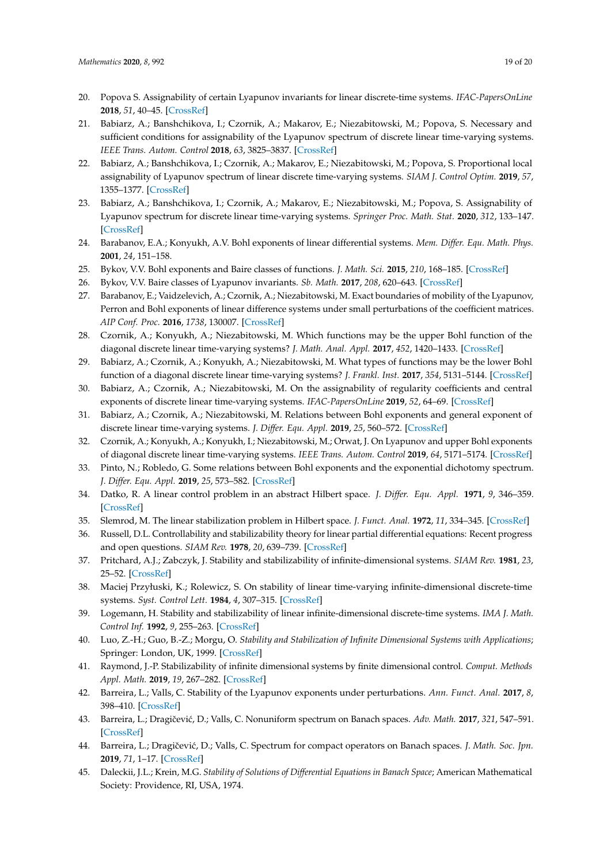- 20. Popova S. Assignability of certain Lyapunov invariants for linear discrete-time systems. *IFAC-PapersOnLine* **2018**, *51*, 40–45. [\[CrossRef\]](http://dx.doi.org/10.1016/j.ifacol.2018.11.350)
- 21. Babiarz, A.; Banshchikova, I.; Czornik, A.; Makarov, E.; Niezabitowski, M.; Popova, S. Necessary and sufficient conditions for assignability of the Lyapunov spectrum of discrete linear time-varying systems. *IEEE Trans. Autom. Control* **2018**, *63*, 3825–3837. [\[CrossRef\]](http://dx.doi.org/10.1109/TAC.2018.2823086)
- 22. Babiarz, A.; Banshchikova, I.; Czornik, A.; Makarov, E.; Niezabitowski, M.; Popova, S. Proportional local assignability of Lyapunov spectrum of linear discrete time-varying systems. *SIAM J. Control Optim.* **2019**, *57*, 1355–1377. [\[CrossRef\]](http://dx.doi.org/10.1137/17M1141734)
- <span id="page-18-0"></span>23. Babiarz, A.; Banshchikova, I.; Czornik, A.; Makarov, E.; Niezabitowski, M.; Popova, S. Assignability of Lyapunov spectrum for discrete linear time-varying systems. *Springer Proc. Math. Stat.* **2020**, *312*, 133–147. [\[CrossRef\]](http://dx.doi.org/10.1007/978-3-030-35502-9_5)
- <span id="page-18-1"></span>24. Barabanov, E.A.; Konyukh, A.V. Bohl exponents of linear differential systems. *Mem. Differ. Equ. Math. Phys.* **2001**, *24*, 151–158.
- 25. Bykov, V.V. Bohl exponents and Baire classes of functions. *J. Math. Sci.* **2015**, *210*, 168–185. [\[CrossRef\]](http://dx.doi.org/10.1007/s10958-015-2555-6)
- <span id="page-18-2"></span>26. Bykov, V.V. Baire classes of Lyapunov invariants. *Sb. Math.* **2017**, *208*, 620–643. [\[CrossRef\]](http://dx.doi.org/10.1070/SM8809)
- <span id="page-18-3"></span>27. Barabanov, E.; Vaidzelevich, A.; Czornik, A.; Niezabitowski, M. Exact boundaries of mobility of the Lyapunov, Perron and Bohl exponents of linear difference systems under small perturbations of the coefficient matrices. *AIP Conf. Proc.* **2016**, *1738*, 130007. [\[CrossRef\]](http://dx.doi.org/10.1063/1.4951923)
- 28. Czornik, A.; Konyukh, A.; Niezabitowski, M. Which functions may be the upper Bohl function of the diagonal discrete linear time-varying systems? *J. Math. Anal. Appl.* **2017**, *452*, 1420–1433. [\[CrossRef\]](http://dx.doi.org/10.1016/j.jmaa.2017.03.061)
- 29. Babiarz, A.; Czornik, A.; Konyukh, A.; Niezabitowski, M. What types of functions may be the lower Bohl function of a diagonal discrete linear time-varying systems? *J. Frankl. Inst.* **2017**, *354*, 5131–5144. [\[CrossRef\]](http://dx.doi.org/10.1016/j.jfranklin.2017.05.032)
- 30. Babiarz, A.; Czornik, A.; Niezabitowski, M. On the assignability of regularity coefficients and central exponents of discrete linear time-varying systems. *IFAC-PapersOnLine* **2019**, *52*, 64–69. [\[CrossRef\]](http://dx.doi.org/10.1016/j.ifacol.2019.12.349)
- 31. Babiarz, A.; Czornik, A.; Niezabitowski, M. Relations between Bohl exponents and general exponent of discrete linear time-varying systems. *J. Differ. Equ. Appl.* **2019**, *25*, 560–572. [\[CrossRef\]](http://dx.doi.org/10.1080/10236198.2019.1604695)
- 32. Czornik, A.; Konyukh, A.; Konyukh, I.; Niezabitowski, M.; Orwat, J. On Lyapunov and upper Bohl exponents of diagonal discrete linear time-varying systems. *IEEE Trans. Autom. Control* **2019**, *64*, 5171–5174. [\[CrossRef\]](http://dx.doi.org/10.1109/TAC.2019.2911848)
- <span id="page-18-4"></span>33. Pinto, N.; Robledo, G. Some relations between Bohl exponents and the exponential dichotomy spectrum. *J. Differ. Equ. Appl.* **2019**, *25*, 573–582. [\[CrossRef\]](http://dx.doi.org/10.1080/10236198.2019.1604697)
- <span id="page-18-5"></span>34. Datko, R. A linear control problem in an abstract Hilbert space. *J. Differ. Equ. Appl.* **1971**, *9*, 346–359. [\[CrossRef\]](http://dx.doi.org/10.1016/0022-0396(71)90087-8)
- <span id="page-18-10"></span>35. Slemrod, M. The linear stabilization problem in Hilbert space. *J. Funct. Anal.* **1972**, *11*, 334–345. [\[CrossRef\]](http://dx.doi.org/10.1016/0022-1236(72)90073-0)
- 36. Russell, D.L. Controllability and stabilizability theory for linear partial differential equations: Recent progress and open questions. *SIAM Rev.* **1978**, *20*, 639–739. [\[CrossRef\]](http://dx.doi.org/10.1137/1020095)
- 37. Pritchard, A.J.; Zabczyk, J. Stability and stabilizability of infinite-dimensional systems. *SIAM Rev.* **1981**, *23*, 25–52. [\[CrossRef\]](http://dx.doi.org/10.1137/1023003)
- 38. Maciej Przyłuski, K.; Rolewicz, S. On stability of linear time-varying infinite-dimensional discrete-time systems. *Syst. Control Lett.* **1984**, *4*, 307–315. [\[CrossRef\]](http://dx.doi.org/10.1016/S0167-6911(84)80042-0)
- 39. Logemann, H. Stability and stabilizability of linear infinite-dimensional discrete-time systems. *IMA J. Math. Control Inf.* **1992**, *9*, 255–263. [\[CrossRef\]](http://dx.doi.org/10.1093/imamci/9.3.255)
- 40. Luo, Z.-H.; Guo, B.-Z.; Morgu, O. *Stability and Stabilization of Infinite Dimensional Systems with Applications*; Springer: London, UK, 1999. [\[CrossRef\]](http://dx.doi.org/10.1007/978-1-4471-0419-3)
- <span id="page-18-6"></span>41. Raymond, J.-P. Stabilizability of infinite dimensional systems by finite dimensional control. *Comput. Methods Appl. Math.* **2019**, *19*, 267–282. [\[CrossRef\]](http://dx.doi.org/10.1515/cmam-2019-0026)
- <span id="page-18-7"></span>42. Barreira, L.; Valls, C. Stability of the Lyapunov exponents under perturbations. *Ann. Funct. Anal.* **2017**, *8*, 398–410. [\[CrossRef\]](http://dx.doi.org/10.1215/20088752-2017-0005)
- 43. Barreira, L.; Dragiˇcevi´c, D.; Valls, C. Nonuniform spectrum on Banach spaces. *Adv. Math.* **2017**, *321*, 547–591. [\[CrossRef\]](http://dx.doi.org/10.1016/j.aim.2017.10.006)
- <span id="page-18-8"></span>44. Barreira, L.; Dragičević, D.; Valls, C. Spectrum for compact operators on Banach spaces. *J. Math. Soc. Jpn.* **2019**, *71*, 1–17. [\[CrossRef\]](http://dx.doi.org/10.2969/jmsj/76447644)
- <span id="page-18-9"></span>45. Daleckii, J.L.; Krein, M.G. *Stability of Solutions of Differential Equations in Banach Space*; American Mathematical Society: Providence, RI, USA, 1974.